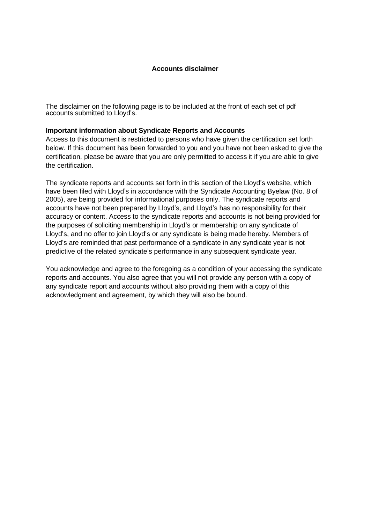#### **Accounts disclaimer**

The disclaimer on the following page is to be included at the front of each set of pdf accounts submitted to Lloyd's.

#### **Important information about Syndicate Reports and Accounts**

Access to this document is restricted to persons who have given the certification set forth below. If this document has been forwarded to you and you have not been asked to give the certification, please be aware that you are only permitted to access it if you are able to give the certification.

The syndicate reports and accounts set forth in this section of the Lloyd's website, which have been filed with Lloyd's in accordance with the Syndicate Accounting Byelaw (No. 8 of 2005), are being provided for informational purposes only. The syndicate reports and accounts have not been prepared by Lloyd's, and Lloyd's has no responsibility for their accuracy or content. Access to the syndicate reports and accounts is not being provided for the purposes of soliciting membership in Lloyd's or membership on any syndicate of Lloyd's, and no offer to join Lloyd's or any syndicate is being made hereby. Members of Lloyd's are reminded that past performance of a syndicate in any syndicate year is not predictive of the related syndicate's performance in any subsequent syndicate year.

You acknowledge and agree to the foregoing as a condition of your accessing the syndicate reports and accounts. You also agree that you will not provide any person with a copy of any syndicate report and accounts without also providing them with a copy of this acknowledgment and agreement, by which they will also be bound.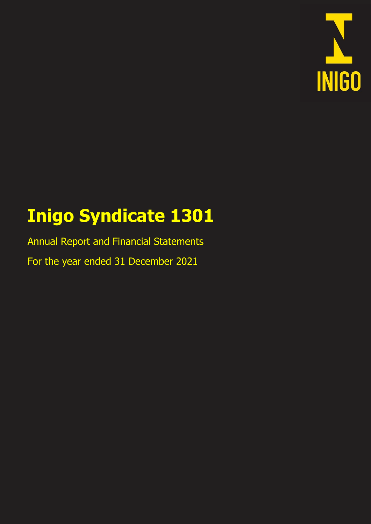

# **Inigo Syndicate 1301 Inigo Syndicate 1301**

Annual Report and Financial Statements For the year ended 31 December 2021 Annual Report and Financial Statements For the year ended 31 December 2021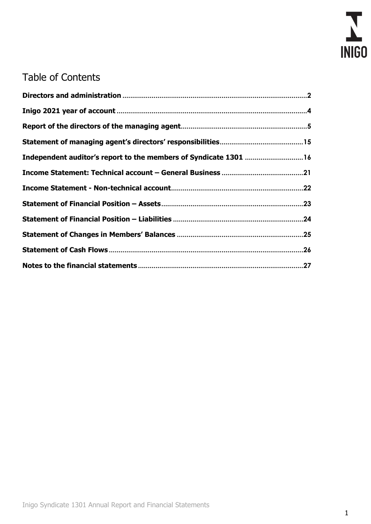

# Table of Contents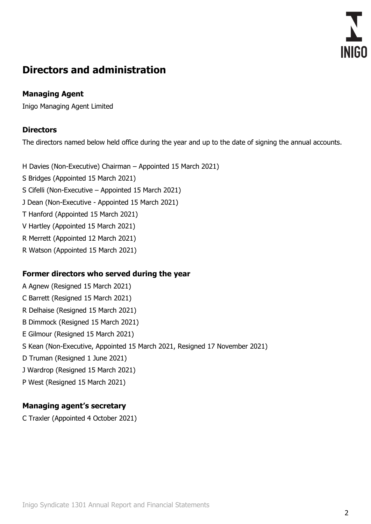

## <span id="page-3-0"></span>**Directors and administration**

## **Managing Agent**

Inigo Managing Agent Limited

## **Directors**

The directors named below held office during the year and up to the date of signing the annual accounts.

H Davies (Non-Executive) Chairman – Appointed 15 March 2021)

- S Bridges (Appointed 15 March 2021)
- S Cifelli (Non-Executive Appointed 15 March 2021)
- J Dean (Non-Executive Appointed 15 March 2021)
- T Hanford (Appointed 15 March 2021)
- V Hartley (Appointed 15 March 2021)
- R Merrett (Appointed 12 March 2021)
- R Watson (Appointed 15 March 2021)

## **Former directors who served during the year**

A Agnew (Resigned 15 March 2021) C Barrett (Resigned 15 March 2021) R Delhaise (Resigned 15 March 2021) B Dimmock (Resigned 15 March 2021) E Gilmour (Resigned 15 March 2021) S Kean (Non-Executive, Appointed 15 March 2021, Resigned 17 November 2021) D Truman (Resigned 1 June 2021) J Wardrop (Resigned 15 March 2021) P West (Resigned 15 March 2021)

## **Managing agent's secretary**

C Traxler (Appointed 4 October 2021)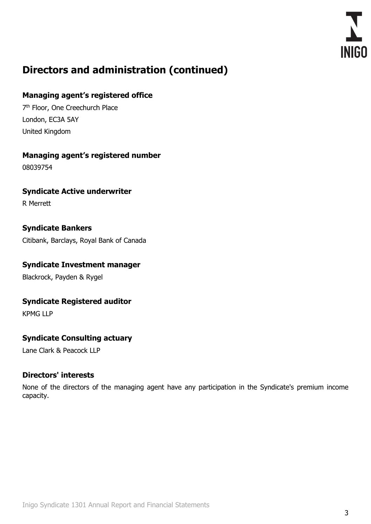

# **Directors and administration (continued)**

## **Managing agent's registered office**

7<sup>th</sup> Floor, One Creechurch Place London, EC3A 5AY United Kingdom

## **Managing agent's registered number**

08039754

**Syndicate Active underwriter** R Merrett

## **Syndicate Bankers**

Citibank, Barclays, Royal Bank of Canada

## **Syndicate Investment manager**

Blackrock, Payden & Rygel

## **Syndicate Registered auditor**

KPMG LLP

## **Syndicate Consulting actuary**

Lane Clark & Peacock LLP

## **Directors' interests**

None of the directors of the managing agent have any participation in the Syndicate's premium income capacity.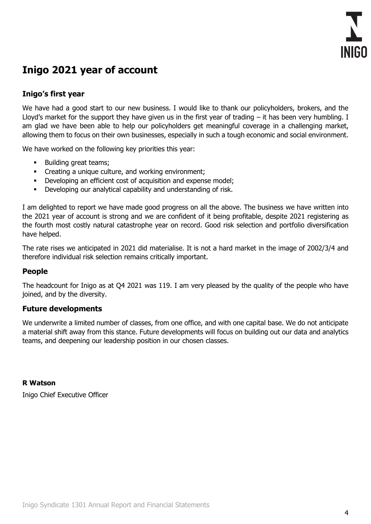

## <span id="page-5-0"></span>**Inigo 2021 year of account**

## **Inigo's first year**

We have had a good start to our new business. I would like to thank our policyholders, brokers, and the Lloyd's market for the support they have given us in the first year of trading  $-$  it has been very humbling. I am glad we have been able to help our policyholders get meaningful coverage in a challenging market, allowing them to focus on their own businesses, especially in such a tough economic and social environment.

We have worked on the following key priorities this year:

- Building great teams;
- Creating a unique culture, and working environment;
- **•** Developing an efficient cost of acquisition and expense model;
- **•** Developing our analytical capability and understanding of risk.

I am delighted to report we have made good progress on all the above. The business we have written into the 2021 year of account is strong and we are confident of it being profitable, despite 2021 registering as the fourth most costly natural catastrophe year on record. Good risk selection and portfolio diversification have helped.

The rate rises we anticipated in 2021 did materialise. It is not a hard market in the image of 2002/3/4 and therefore individual risk selection remains critically important.

## **People**

The headcount for Inigo as at Q4 2021 was 119. I am very pleased by the quality of the people who have joined, and by the diversity.

#### **Future developments**

We underwrite a limited number of classes, from one office, and with one capital base. We do not anticipate a material shift away from this stance. Future developments will focus on building out our data and analytics teams, and deepening our leadership position in our chosen classes.

#### **R Watson**

Inigo Chief Executive Officer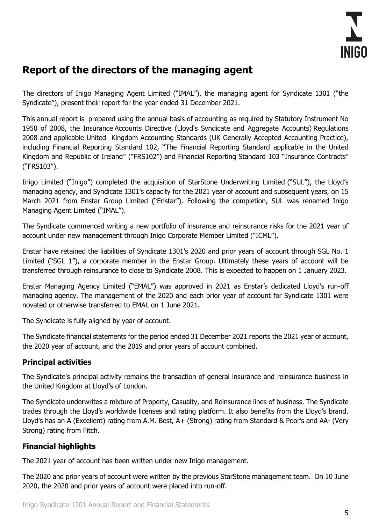

## <span id="page-6-0"></span>**Report of the directors of the managing agent**

The directors of Inigo Managing Agent Limited ("IMAL"), the managing agent for Syndicate 1301 ("the Syndicate"), present their report for the year ended 31 December 2021.

This annual report is prepared using the annual basis of accounting as required by Statutory Instrument No 1950 of 2008, the Insurance Accounts Directive (Lloyd's Syndicate and Aggregate Accounts) Regulations 2008 and applicable United Kingdom Accounting Standards (UK Generally Accepted Accounting Practice), including Financial Reporting Standard 102, "The Financial Reporting Standard applicable in the United Kingdom and Republic of Ireland" ("FRS102") and Financial Reporting Standard 103 "Insurance Contracts" ("FRS103").

Inigo Limited ("Inigo") completed the acquisition of StarStone Underwriting Limited ("SUL"), the Lloyd's managing agency, and Syndicate 1301's capacity for the 2021 year of account and subsequent years, on 15 March 2021 from Enstar Group Limited ("Enstar"). Following the completion, SUL was renamed Inigo Managing Agent Limited ("IMAL").

The Syndicate commenced writing a new portfolio of insurance and reinsurance risks for the 2021 year of account under new management through Inigo Corporate Member Limited ("ICML").

Enstar have retained the liabilities of Syndicate 1301's 2020 and prior years of account through SGL No. 1 Limited ("SGL 1"), a corporate member in the Enstar Group. Ultimately these years of account will be transferred through reinsurance to close to Syndicate 2008. This is expected to happen on 1 January 2023.

Enstar Managing Agency Limited ("EMAL") was approved in 2021 as Enstar's dedicated Lloyd's run-off managing agency. The management of the 2020 and each prior year of account for Syndicate 1301 were novated or otherwise transferred to EMAL on 1 June 2021.

The Syndicate is fully aligned by year of account.

The Syndicate financial statements for the period ended 31 December 2021 reports the 2021 year of account, the 2020 year of account, and the 2019 and prior years of account combined.

## **Principal activities**

The Syndicate's principal activity remains the transaction of general insurance and reinsurance business in the United Kingdom at Lloyd's of London.

The Syndicate underwrites a mixture of Property, Casualty, and Reinsurance lines of business. The Syndicate trades through the Lloyd's worldwide licenses and rating platform. It also benefits from the Lloyd's brand. Lloyd's has an A (Excellent) rating from A.M. Best, A+ (Strong) rating from Standard & Poor's and AA- (Very Strong) rating from Fitch.

## **Financial highlights**

The 2021 year of account has been written under new Inigo management.

The 2020 and prior years of account were written by the previous StarStone management team. On 10 June 2020, the 2020 and prior years of account were placed into run-off.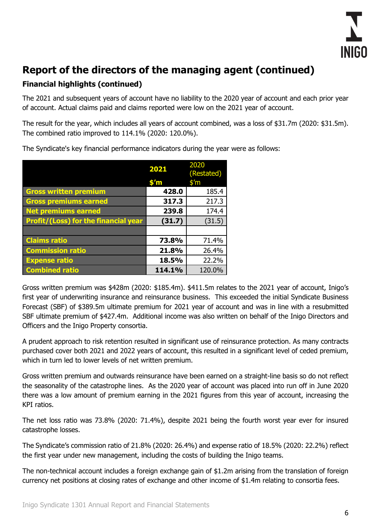

## **Financial highlights (continued)**

The 2021 and subsequent years of account have no liability to the 2020 year of account and each prior year of account. Actual claims paid and claims reported were low on the 2021 year of account.

The result for the year, which includes all years of account combined, was a loss of \$31.7m (2020: \$31.5m). The combined ratio improved to 114.1% (2020: 120.0%).

|                                             | 2021           | 2020<br>(Restated) |
|---------------------------------------------|----------------|--------------------|
|                                             | $$^{\prime}$ m | $$^{\prime}$ m     |
| <b>Gross written premium</b>                | 428.0          | 185.4              |
| <b>Gross premiums earned</b>                | 317.3          | 217.3              |
| <b>Net premiums earned</b>                  | 239.8          | 174.4              |
| <b>Profit/(Loss) for the financial year</b> | (31.7)         | (31.5)             |
|                                             |                |                    |
| <b>Claims ratio</b>                         | 73.8%          | 71.4%              |
| <b>Commission ratio</b>                     | 21.8%          | 26.4%              |
| <b>Expense ratio</b>                        | 18.5%          | 22.2%              |
| <b>Combined ratio</b>                       | 114.1%         | 120.0%             |

The Syndicate's key financial performance indicators during the year were as follows:

Gross written premium was \$428m (2020: \$185.4m). \$411.5m relates to the 2021 year of account, Inigo's first year of underwriting insurance and reinsurance business. This exceeded the initial Syndicate Business Forecast (SBF) of \$389.5m ultimate premium for 2021 year of account and was in line with a resubmitted SBF ultimate premium of \$427.4m. Additional income was also written on behalf of the Inigo Directors and Officers and the Inigo Property consortia.

A prudent approach to risk retention resulted in significant use of reinsurance protection. As many contracts purchased cover both 2021 and 2022 years of account, this resulted in a significant level of ceded premium, which in turn led to lower levels of net written premium.

Gross written premium and outwards reinsurance have been earned on a straight-line basis so do not reflect the seasonality of the catastrophe lines. As the 2020 year of account was placed into run off in June 2020 there was a low amount of premium earning in the 2021 figures from this year of account, increasing the KPI ratios.

The net loss ratio was 73.8% (2020: 71.4%), despite 2021 being the fourth worst year ever for insured catastrophe losses.

The Syndicate's commission ratio of 21.8% (2020: 26.4%) and expense ratio of 18.5% (2020: 22.2%) reflect the first year under new management, including the costs of building the Inigo teams.

The non-technical account includes a foreign exchange gain of \$1.2m arising from the translation of foreign currency net positions at closing rates of exchange and other income of \$1.4m relating to consortia fees.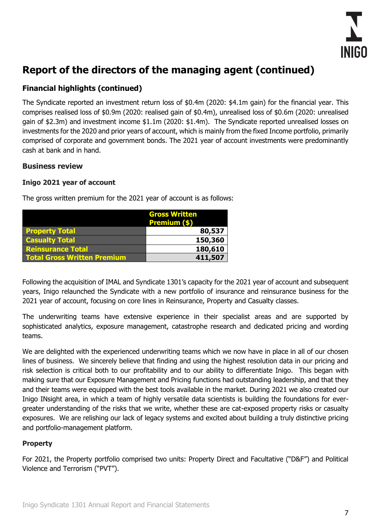

## **Financial highlights (continued)**

The Syndicate reported an investment return loss of \$0.4m (2020: \$4.1m gain) for the financial year. This comprises realised loss of \$0.9m (2020: realised gain of \$0.4m), unrealised loss of \$0.6m (2020: unrealised gain of \$2.3m) and investment income \$1.1m (2020: \$1.4m). The Syndicate reported unrealised losses on investments for the 2020 and prior years of account, which is mainly from the fixed Income portfolio, primarily comprised of corporate and government bonds. The 2021 year of account investments were predominantly cash at bank and in hand.

## **Business review**

#### **Inigo 2021 year of account**

|                                    | <b>Gross Written</b><br><b>Premium (\$)</b> |
|------------------------------------|---------------------------------------------|
| <b>Property Total</b>              | 80,537                                      |
| <b>Casualty Total</b>              | 150,360                                     |
| <b>Reinsurance Total</b>           | 180,610                                     |
| <b>Total Gross Written Premium</b> | 411,507                                     |

The gross written premium for the 2021 year of account is as follows:

Following the acquisition of IMAL and Syndicate 1301's capacity for the 2021 year of account and subsequent years, Inigo relaunched the Syndicate with a new portfolio of insurance and reinsurance business for the 2021 year of account, focusing on core lines in Reinsurance, Property and Casualty classes.

The underwriting teams have extensive experience in their specialist areas and are supported by sophisticated analytics, exposure management, catastrophe research and dedicated pricing and wording teams.

We are delighted with the experienced underwriting teams which we now have in place in all of our chosen lines of business. We sincerely believe that finding and using the highest resolution data in our pricing and risk selection is critical both to our profitability and to our ability to differentiate Inigo. This began with making sure that our Exposure Management and Pricing functions had outstanding leadership, and that they and their teams were equipped with the best tools available in the market. During 2021 we also created our Inigo INsight area, in which a team of highly versatile data scientists is building the foundations for evergreater understanding of the risks that we write, whether these are cat-exposed property risks or casualty exposures. We are relishing our lack of legacy systems and excited about building a truly distinctive pricing and portfolio-management platform.

## **Property**

For 2021, the Property portfolio comprised two units: Property Direct and Facultative ("D&F") and Political Violence and Terrorism ("PVT").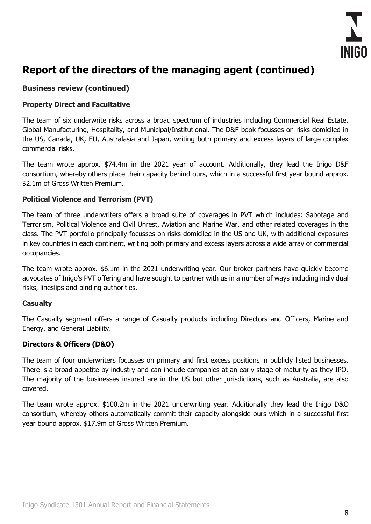

## **Business review (continued)**

#### **Property Direct and Facultative**

The team of six underwrite risks across a broad spectrum of industries including Commercial Real Estate, Global Manufacturing, Hospitality, and Municipal/Institutional. The D&F book focusses on risks domiciled in the US, Canada, UK, EU, Australasia and Japan, writing both primary and excess layers of large complex commercial risks.

The team wrote approx. \$74.4m in the 2021 year of account. Additionally, they lead the Inigo D&F consortium, whereby others place their capacity behind ours, which in a successful first year bound approx. \$2.1m of Gross Written Premium.

#### **Political Violence and Terrorism (PVT)**

The team of three underwriters offers a broad suite of coverages in PVT which includes: Sabotage and Terrorism, Political Violence and Civil Unrest, Aviation and Marine War, and other related coverages in the class. The PVT portfolio principally focusses on risks domiciled in the US and UK, with additional exposures in key countries in each continent, writing both primary and excess layers across a wide array of commercial occupancies.

The team wrote approx. \$6.1m in the 2021 underwriting year. Our broker partners have quickly become advocates of Inigo's PVT offering and have sought to partner with us in a number of ways including individual risks, lineslips and binding authorities.

#### **Casualty**

The Casualty segment offers a range of Casualty products including Directors and Officers, Marine and Energy, and General Liability.

#### **Directors & Officers (D&O)**

The team of four underwriters focusses on primary and first excess positions in publicly listed businesses. There is a broad appetite by industry and can include companies at an early stage of maturity as they IPO. The majority of the businesses insured are in the US but other jurisdictions, such as Australia, are also covered.

The team wrote approx. \$100.2m in the 2021 underwriting year. Additionally they lead the Inigo D&O consortium, whereby others automatically commit their capacity alongside ours which in a successful first year bound approx. \$17.9m of Gross Written Premium.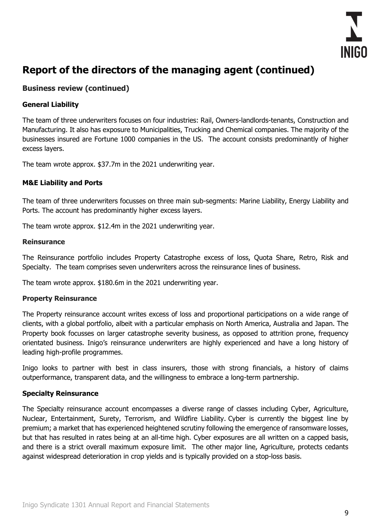

## **Business review (continued)**

#### **General Liability**

The team of three underwriters focuses on four industries: Rail, Owners-landlords-tenants, Construction and Manufacturing. It also has exposure to Municipalities, Trucking and Chemical companies. The majority of the businesses insured are Fortune 1000 companies in the US. The account consists predominantly of higher excess layers.

The team wrote approx. \$37.7m in the 2021 underwriting year.

#### **M&E Liability and Ports**

The team of three underwriters focusses on three main sub-segments: Marine Liability, Energy Liability and Ports. The account has predominantly higher excess layers.

The team wrote approx. \$12.4m in the 2021 underwriting year.

#### **Reinsurance**

The Reinsurance portfolio includes Property Catastrophe excess of loss, Quota Share, Retro, Risk and Specialty. The team comprises seven underwriters across the reinsurance lines of business.

The team wrote approx. \$180.6m in the 2021 underwriting year.

#### **Property Reinsurance**

The Property reinsurance account writes excess of loss and proportional participations on a wide range of clients, with a global portfolio, albeit with a particular emphasis on North America, Australia and Japan. The Property book focusses on larger catastrophe severity business, as opposed to attrition prone, frequency orientated business. Inigo's reinsurance underwriters are highly experienced and have a long history of leading high-profile programmes.

Inigo looks to partner with best in class insurers, those with strong financials, a history of claims outperformance, transparent data, and the willingness to embrace a long-term partnership.

#### **Specialty Reinsurance**

The Specialty reinsurance account encompasses a diverse range of classes including Cyber, Agriculture, Nuclear, Entertainment, Surety, Terrorism, and Wildfire Liability. Cyber is currently the biggest line by premium; a market that has experienced heightened scrutiny following the emergence of ransomware losses, but that has resulted in rates being at an all-time high. Cyber exposures are all written on a capped basis, and there is a strict overall maximum exposure limit. The other major line, Agriculture, protects cedants against widespread deterioration in crop yields and is typically provided on a stop-loss basis.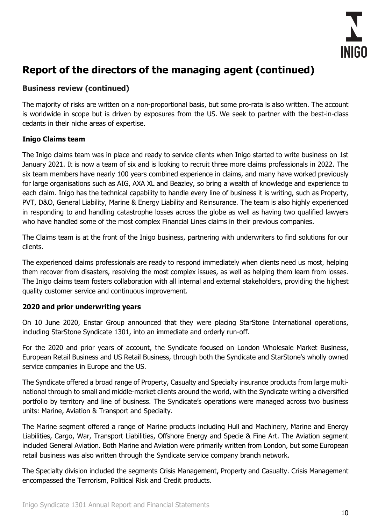

## **Business review (continued)**

The majority of risks are written on a non-proportional basis, but some pro-rata is also written. The account is worldwide in scope but is driven by exposures from the US. We seek to partner with the best-in-class cedants in their niche areas of expertise.

#### **Inigo Claims team**

The Inigo claims team was in place and ready to service clients when Inigo started to write business on 1st January 2021. It is now a team of six and is looking to recruit three more claims professionals in 2022. The six team members have nearly 100 years combined experience in claims, and many have worked previously for large organisations such as AIG, AXA XL and Beazley, so bring a wealth of knowledge and experience to each claim. Inigo has the technical capability to handle every line of business it is writing, such as Property, PVT, D&O, General Liability, Marine & Energy Liability and Reinsurance. The team is also highly experienced in responding to and handling catastrophe losses across the globe as well as having two qualified lawyers who have handled some of the most complex Financial Lines claims in their previous companies.

The Claims team is at the front of the Inigo business, partnering with underwriters to find solutions for our clients.

The experienced claims professionals are ready to respond immediately when clients need us most, helping them recover from disasters, resolving the most complex issues, as well as helping them learn from losses. The Inigo claims team fosters collaboration with all internal and external stakeholders, providing the highest quality customer service and continuous improvement.

## **2020 and prior underwriting years**

On 10 June 2020, Enstar Group announced that they were placing StarStone International operations, including StarStone Syndicate 1301, into an immediate and orderly run-off.

For the 2020 and prior years of account, the Syndicate focused on London Wholesale Market Business, European Retail Business and US Retail Business, through both the Syndicate and StarStone's wholly owned service companies in Europe and the US.

The Syndicate offered a broad range of Property, Casualty and Specialty insurance products from large multinational through to small and middle-market clients around the world, with the Syndicate writing a diversified portfolio by territory and line of business. The Syndicate's operations were managed across two business units: Marine, Aviation & Transport and Specialty.

The Marine segment offered a range of Marine products including Hull and Machinery, Marine and Energy Liabilities, Cargo, War, Transport Liabilities, Offshore Energy and Specie & Fine Art. The Aviation segment included General Aviation. Both Marine and Aviation were primarily written from London, but some European retail business was also written through the Syndicate service company branch network.

The Specialty division included the segments Crisis Management, Property and Casualty. Crisis Management encompassed the Terrorism, Political Risk and Credit products.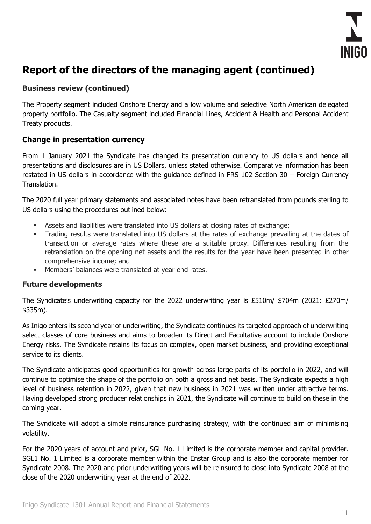

## **Business review (continued)**

The Property segment included Onshore Energy and a low volume and selective North American delegated property portfolio. The Casualty segment included Financial Lines, Accident & Health and Personal Accident Treaty products.

## **Change in presentation currency**

From 1 January 2021 the Syndicate has changed its presentation currency to US dollars and hence all presentations and disclosures are in US Dollars, unless stated otherwise. Comparative information has been restated in US dollars in accordance with the guidance defined in FRS 102 Section 30 – Foreign Currency Translation.

The 2020 full year primary statements and associated notes have been retranslated from pounds sterling to US dollars using the procedures outlined below:

- Assets and liabilities were translated into US dollars at closing rates of exchange;
- Trading results were translated into US dollars at the rates of exchange prevailing at the dates of transaction or average rates where these are a suitable proxy. Differences resulting from the retranslation on the opening net assets and the results for the year have been presented in other comprehensive income; and
- Members' balances were translated at year end rates.

## **Future developments**

The Syndicate's underwriting capacity for the 2022 underwriting year is £510m/ \$704m (2021: £270m/ \$335m).

As Inigo enters its second year of underwriting, the Syndicate continues its targeted approach of underwriting select classes of core business and aims to broaden its Direct and Facultative account to include Onshore Energy risks. The Syndicate retains its focus on complex, open market business, and providing exceptional service to its clients.

The Syndicate anticipates good opportunities for growth across large parts of its portfolio in 2022, and will continue to optimise the shape of the portfolio on both a gross and net basis. The Syndicate expects a high level of business retention in 2022, given that new business in 2021 was written under attractive terms. Having developed strong producer relationships in 2021, the Syndicate will continue to build on these in the coming year.

The Syndicate will adopt a simple reinsurance purchasing strategy, with the continued aim of minimising volatility.

For the 2020 years of account and prior, SGL No. 1 Limited is the corporate member and capital provider. SGL1 No. 1 Limited is a corporate member within the Enstar Group and is also the corporate member for Syndicate 2008. The 2020 and prior underwriting years will be reinsured to close into Syndicate 2008 at the close of the 2020 underwriting year at the end of 2022.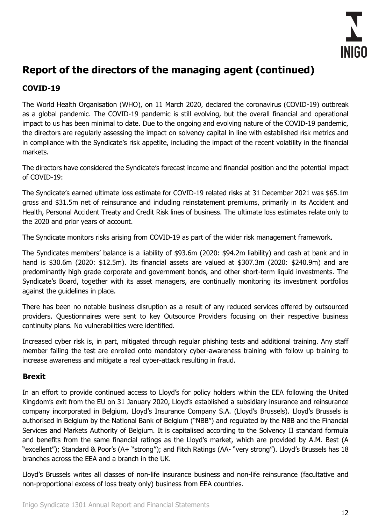

## **COVID-19**

The World Health Organisation (WHO), on 11 March 2020, declared the coronavirus (COVID-19) outbreak as a global pandemic. The COVID-19 pandemic is still evolving, but the overall financial and operational impact to us has been minimal to date. Due to the ongoing and evolving nature of the COVID-19 pandemic, the directors are regularly assessing the impact on solvency capital in line with established risk metrics and in compliance with the Syndicate's risk appetite, including the impact of the recent volatility in the financial markets.

The directors have considered the Syndicate's forecast income and financial position and the potential impact of COVID-19:

The Syndicate's earned ultimate loss estimate for COVID-19 related risks at 31 December 2021 was \$65.1m gross and \$31.5m net of reinsurance and including reinstatement premiums, primarily in its Accident and Health, Personal Accident Treaty and Credit Risk lines of business. The ultimate loss estimates relate only to the 2020 and prior years of account.

The Syndicate monitors risks arising from COVID-19 as part of the wider risk management framework.

The Syndicates members' balance is a liability of \$93.6m (2020: \$94.2m liability) and cash at bank and in hand is \$30.6m (2020: \$12.5m). Its financial assets are valued at \$307.3m (2020: \$240.9m) and are predominantly high grade corporate and government bonds, and other short-term liquid investments. The Syndicate's Board, together with its asset managers, are continually monitoring its investment portfolios against the guidelines in place.

There has been no notable business disruption as a result of any reduced services offered by outsourced providers. Questionnaires were sent to key Outsource Providers focusing on their respective business continuity plans. No vulnerabilities were identified.

Increased cyber risk is, in part, mitigated through regular phishing tests and additional training. Any staff member failing the test are enrolled onto mandatory cyber-awareness training with follow up training to increase awareness and mitigate a real cyber-attack resulting in fraud.

## **Brexit**

In an effort to provide continued access to Lloyd's for policy holders within the EEA following the United Kingdom's exit from the EU on 31 January 2020, Lloyd's established a subsidiary insurance and reinsurance company incorporated in Belgium, Lloyd's Insurance Company S.A. (Lloyd's Brussels). Lloyd's Brussels is authorised in Belgium by the National Bank of Belgium ("NBB") and regulated by the NBB and the Financial Services and Markets Authority of Belgium. It is capitalised according to the Solvency II standard formula and benefits from the same financial ratings as the Lloyd's market, which are provided by A.M. Best (A "excellent"); Standard & Poor's (A+ "strong"); and Fitch Ratings (AA- "very strong"). Lloyd's Brussels has 18 branches across the EEA and a branch in the UK.

Lloyd's Brussels writes all classes of non-life insurance business and non-life reinsurance (facultative and non-proportional excess of loss treaty only) business from EEA countries.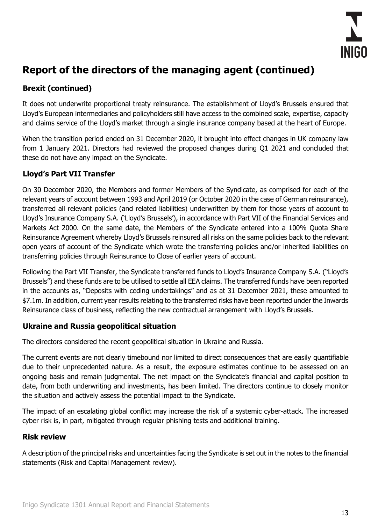

## **Brexit (continued)**

It does not underwrite proportional treaty reinsurance. The establishment of Lloyd's Brussels ensured that Lloyd's European intermediaries and policyholders still have access to the combined scale, expertise, capacity and claims service of the Lloyd's market through a single insurance company based at the heart of Europe.

When the transition period ended on 31 December 2020, it brought into effect changes in UK company law from 1 January 2021. Directors had reviewed the proposed changes during Q1 2021 and concluded that these do not have any impact on the Syndicate.

## **Lloyd's Part VII Transfer**

On 30 December 2020, the Members and former Members of the Syndicate, as comprised for each of the relevant years of account between 1993 and April 2019 (or October 2020 in the case of German reinsurance), transferred all relevant policies (and related liabilities) underwritten by them for those years of account to Lloyd's Insurance Company S.A. ('Lloyd's Brussels'), in accordance with Part VII of the Financial Services and Markets Act 2000. On the same date, the Members of the Syndicate entered into a 100% Quota Share Reinsurance Agreement whereby Lloyd's Brussels reinsured all risks on the same policies back to the relevant open years of account of the Syndicate which wrote the transferring policies and/or inherited liabilities on transferring policies through Reinsurance to Close of earlier years of account.

Following the Part VII Transfer, the Syndicate transferred funds to Lloyd's Insurance Company S.A. ("Lloyd's Brussels") and these funds are to be utilised to settle all EEA claims. The transferred funds have been reported in the accounts as, "Deposits with ceding undertakings" and as at 31 December 2021, these amounted to \$7.1m. In addition, current year results relating to the transferred risks have been reported under the Inwards Reinsurance class of business, reflecting the new contractual arrangement with Lloyd's Brussels.

## **Ukraine and Russia geopolitical situation**

The directors considered the recent geopolitical situation in Ukraine and Russia.

The current events are not clearly timebound nor limited to direct consequences that are easily quantifiable due to their unprecedented nature. As a result, the exposure estimates continue to be assessed on an ongoing basis and remain judgmental. The net impact on the Syndicate's financial and capital position to date, from both underwriting and investments, has been limited. The directors continue to closely monitor the situation and actively assess the potential impact to the Syndicate.

The impact of an escalating global conflict may increase the risk of a systemic cyber-attack. The increased cyber risk is, in part, mitigated through regular phishing tests and additional training.

## **Risk review**

A description of the principal risks and uncertainties facing the Syndicate is set out in the notes to the financial statements (Risk and Capital Management review).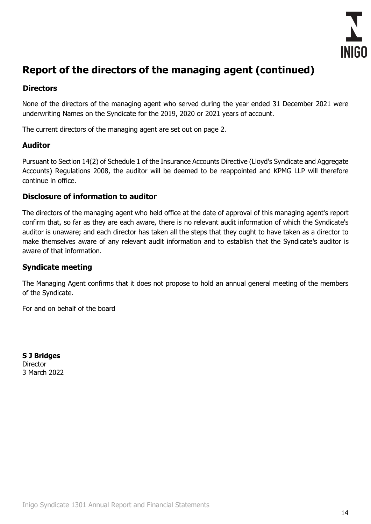

## **Directors**

None of the directors of the managing agent who served during the year ended 31 December 2021 were underwriting Names on the Syndicate for the 2019, 2020 or 2021 years of account.

The current directors of the managing agent are set out on page 2.

## **Auditor**

Pursuant to Section 14(2) of Schedule 1 of the Insurance Accounts Directive (Lloyd's Syndicate and Aggregate Accounts) Regulations 2008, the auditor will be deemed to be reappointed and KPMG LLP will therefore continue in office.

## **Disclosure of information to auditor**

The directors of the managing agent who held office at the date of approval of this managing agent's report confirm that, so far as they are each aware, there is no relevant audit information of which the Syndicate's auditor is unaware; and each director has taken all the steps that they ought to have taken as a director to make themselves aware of any relevant audit information and to establish that the Syndicate's auditor is aware of that information.

## **Syndicate meeting**

The Managing Agent confirms that it does not propose to hold an annual general meeting of the members of the Syndicate.

For and on behalf of the board

**S J Bridges Director** 3 March 2022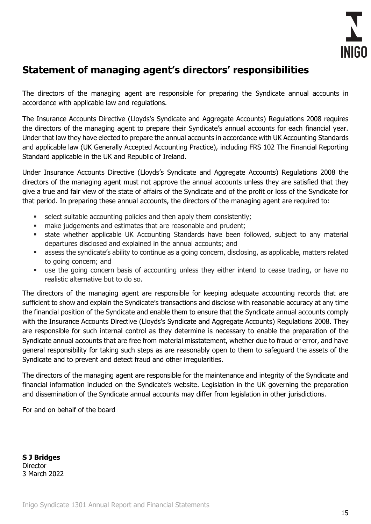

## <span id="page-16-0"></span>**Statement of managing agent's directors' responsibilities**

The directors of the managing agent are responsible for preparing the Syndicate annual accounts in accordance with applicable law and regulations.

The Insurance Accounts Directive (Lloyds's Syndicate and Aggregate Accounts) Regulations 2008 requires the directors of the managing agent to prepare their Syndicate's annual accounts for each financial year. Under that law they have elected to prepare the annual accounts in accordance with UK Accounting Standards and applicable law (UK Generally Accepted Accounting Practice), including FRS 102 The Financial Reporting Standard applicable in the UK and Republic of Ireland.

Under Insurance Accounts Directive (Lloyds's Syndicate and Aggregate Accounts) Regulations 2008 the directors of the managing agent must not approve the annual accounts unless they are satisfied that they give a true and fair view of the state of affairs of the Syndicate and of the profit or loss of the Syndicate for that period. In preparing these annual accounts, the directors of the managing agent are required to:

- select suitable accounting policies and then apply them consistently;
- **■** make judgements and estimates that are reasonable and prudent;
- **•** state whether applicable UK Accounting Standards have been followed, subject to any material departures disclosed and explained in the annual accounts; and
- **EXEDENT ASSESS the syndicate's ability to continue as a going concern, disclosing, as applicable, matters related** to going concern; and
- use the going concern basis of accounting unless they either intend to cease trading, or have no realistic alternative but to do so.

The directors of the managing agent are responsible for keeping adequate accounting records that are sufficient to show and explain the Syndicate's transactions and disclose with reasonable accuracy at any time the financial position of the Syndicate and enable them to ensure that the Syndicate annual accounts comply with the Insurance Accounts Directive (Lloyds's Syndicate and Aggregate Accounts) Regulations 2008. They are responsible for such internal control as they determine is necessary to enable the preparation of the Syndicate annual accounts that are free from material misstatement, whether due to fraud or error, and have general responsibility for taking such steps as are reasonably open to them to safeguard the assets of the Syndicate and to prevent and detect fraud and other irregularities.

The directors of the managing agent are responsible for the maintenance and integrity of the Syndicate and financial information included on the Syndicate's website. Legislation in the UK governing the preparation and dissemination of the Syndicate annual accounts may differ from legislation in other jurisdictions.

For and on behalf of the board

**S J Bridges Director** 3 March 2022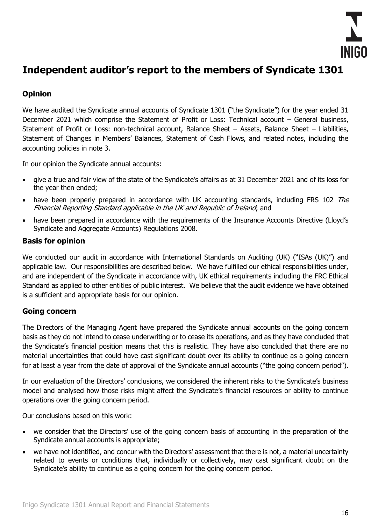

## <span id="page-17-0"></span>**Independent auditor's report to the members of Syndicate 1301**

## **Opinion**

We have audited the Syndicate annual accounts of Syndicate 1301 ("the Syndicate") for the year ended 31 December 2021 which comprise the Statement of Profit or Loss: Technical account – General business, Statement of Profit or Loss: non-technical account, Balance Sheet – Assets, Balance Sheet – Liabilities, Statement of Changes in Members' Balances, Statement of Cash Flows, and related notes, including the accounting policies in note 3.

In our opinion the Syndicate annual accounts:

- give a true and fair view of the state of the Syndicate's affairs as at 31 December 2021 and of its loss for the year then ended;
- have been properly prepared in accordance with UK accounting standards, including FRS 102 The Financial Reporting Standard applicable in the UK and Republic of Ireland; and
- have been prepared in accordance with the requirements of the Insurance Accounts Directive (Lloyd's Syndicate and Aggregate Accounts) Regulations 2008.

## **Basis for opinion**

We conducted our audit in accordance with International Standards on Auditing (UK) ("ISAs (UK)") and applicable law. Our responsibilities are described below. We have fulfilled our ethical responsibilities under, and are independent of the Syndicate in accordance with, UK ethical requirements including the FRC Ethical Standard as applied to other entities of public interest. We believe that the audit evidence we have obtained is a sufficient and appropriate basis for our opinion.

## **Going concern**

The Directors of the Managing Agent have prepared the Syndicate annual accounts on the going concern basis as they do not intend to cease underwriting or to cease its operations, and as they have concluded that the Syndicate's financial position means that this is realistic. They have also concluded that there are no material uncertainties that could have cast significant doubt over its ability to continue as a going concern for at least a year from the date of approval of the Syndicate annual accounts ("the going concern period").

In our evaluation of the Directors' conclusions, we considered the inherent risks to the Syndicate's business model and analysed how those risks might affect the Syndicate's financial resources or ability to continue operations over the going concern period.

Our conclusions based on this work:

- we consider that the Directors' use of the going concern basis of accounting in the preparation of the Syndicate annual accounts is appropriate;
- we have not identified, and concur with the Directors' assessment that there is not, a material uncertainty related to events or conditions that, individually or collectively, may cast significant doubt on the Syndicate's ability to continue as a going concern for the going concern period.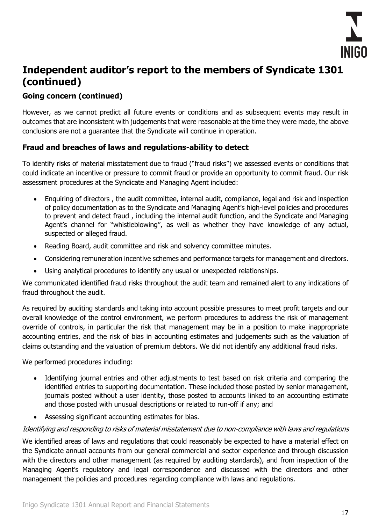

## **Going concern (continued)**

However, as we cannot predict all future events or conditions and as subsequent events may result in outcomes that are inconsistent with judgements that were reasonable at the time they were made, the above conclusions are not a guarantee that the Syndicate will continue in operation.

## **Fraud and breaches of laws and regulations-ability to detect**

To identify risks of material misstatement due to fraud ("fraud risks") we assessed events or conditions that could indicate an incentive or pressure to commit fraud or provide an opportunity to commit fraud. Our risk assessment procedures at the Syndicate and Managing Agent included:

- Enquiring of directors , the audit committee, internal audit, compliance, legal and risk and inspection of policy documentation as to the Syndicate and Managing Agent's high-level policies and procedures to prevent and detect fraud , including the internal audit function, and the Syndicate and Managing Agent's channel for "whistleblowing", as well as whether they have knowledge of any actual, suspected or alleged fraud.
- Reading Board, audit committee and risk and solvency committee minutes.
- Considering remuneration incentive schemes and performance targets for management and directors.
- Using analytical procedures to identify any usual or unexpected relationships.

We communicated identified fraud risks throughout the audit team and remained alert to any indications of fraud throughout the audit.

As required by auditing standards and taking into account possible pressures to meet profit targets and our overall knowledge of the control environment, we perform procedures to address the risk of management override of controls, in particular the risk that management may be in a position to make inappropriate accounting entries, and the risk of bias in accounting estimates and judgements such as the valuation of claims outstanding and the valuation of premium debtors. We did not identify any additional fraud risks.

We performed procedures including:

- Identifying journal entries and other adjustments to test based on risk criteria and comparing the identified entries to supporting documentation. These included those posted by senior management, journals posted without a user identity, those posted to accounts linked to an accounting estimate and those posted with unusual descriptions or related to run-off if any; and
- Assessing significant accounting estimates for bias.

#### Identifying and responding to risks of material misstatement due to non-compliance with laws and regulations

We identified areas of laws and regulations that could reasonably be expected to have a material effect on the Syndicate annual accounts from our general commercial and sector experience and through discussion with the directors and other management (as required by auditing standards), and from inspection of the Managing Agent's regulatory and legal correspondence and discussed with the directors and other management the policies and procedures regarding compliance with laws and regulations.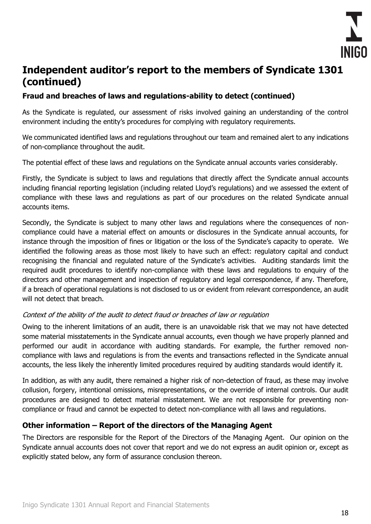

## **Fraud and breaches of laws and regulations-ability to detect (continued)**

As the Syndicate is regulated, our assessment of risks involved gaining an understanding of the control environment including the entity's procedures for complying with regulatory requirements.

We communicated identified laws and regulations throughout our team and remained alert to any indications of non-compliance throughout the audit.

The potential effect of these laws and regulations on the Syndicate annual accounts varies considerably.

Firstly, the Syndicate is subject to laws and regulations that directly affect the Syndicate annual accounts including financial reporting legislation (including related Lloyd's regulations) and we assessed the extent of compliance with these laws and regulations as part of our procedures on the related Syndicate annual accounts items.

Secondly, the Syndicate is subject to many other laws and regulations where the consequences of noncompliance could have a material effect on amounts or disclosures in the Syndicate annual accounts, for instance through the imposition of fines or litigation or the loss of the Syndicate's capacity to operate. We identified the following areas as those most likely to have such an effect: regulatory capital and conduct recognising the financial and regulated nature of the Syndicate's activities. Auditing standards limit the required audit procedures to identify non-compliance with these laws and regulations to enquiry of the directors and other management and inspection of regulatory and legal correspondence, if any. Therefore, if a breach of operational regulations is not disclosed to us or evident from relevant correspondence, an audit will not detect that breach.

## Context of the ability of the audit to detect fraud or breaches of law or regulation

Owing to the inherent limitations of an audit, there is an unavoidable risk that we may not have detected some material misstatements in the Syndicate annual accounts, even though we have properly planned and performed our audit in accordance with auditing standards. For example, the further removed noncompliance with laws and regulations is from the events and transactions reflected in the Syndicate annual accounts, the less likely the inherently limited procedures required by auditing standards would identify it.

In addition, as with any audit, there remained a higher risk of non-detection of fraud, as these may involve collusion, forgery, intentional omissions, misrepresentations, or the override of internal controls. Our audit procedures are designed to detect material misstatement. We are not responsible for preventing noncompliance or fraud and cannot be expected to detect non-compliance with all laws and regulations.

## **Other information – Report of the directors of the Managing Agent**

The Directors are responsible for the Report of the Directors of the Managing Agent. Our opinion on the Syndicate annual accounts does not cover that report and we do not express an audit opinion or, except as explicitly stated below, any form of assurance conclusion thereon.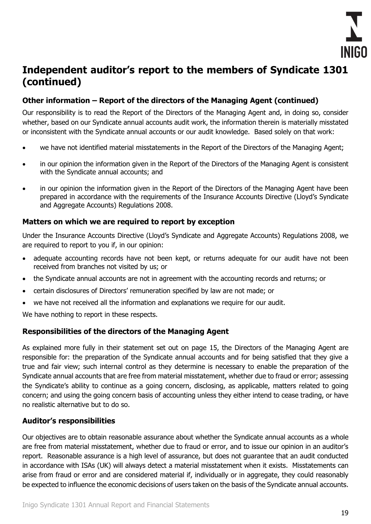

## **Other information – Report of the directors of the Managing Agent (continued)**

Our responsibility is to read the Report of the Directors of the Managing Agent and, in doing so, consider whether, based on our Syndicate annual accounts audit work, the information therein is materially misstated or inconsistent with the Syndicate annual accounts or our audit knowledge. Based solely on that work:

- we have not identified material misstatements in the Report of the Directors of the Managing Agent;
- in our opinion the information given in the Report of the Directors of the Managing Agent is consistent with the Syndicate annual accounts; and
- in our opinion the information given in the Report of the Directors of the Managing Agent have been prepared in accordance with the requirements of the Insurance Accounts Directive (Lloyd's Syndicate and Aggregate Accounts) Regulations 2008.

## **Matters on which we are required to report by exception**

Under the Insurance Accounts Directive (Lloyd's Syndicate and Aggregate Accounts) Regulations 2008, we are required to report to you if, in our opinion:

- adequate accounting records have not been kept, or returns adequate for our audit have not been received from branches not visited by us; or
- the Syndicate annual accounts are not in agreement with the accounting records and returns; or
- certain disclosures of Directors' remuneration specified by law are not made; or
- we have not received all the information and explanations we require for our audit.

We have nothing to report in these respects.

## **Responsibilities of the directors of the Managing Agent**

As explained more fully in their statement set out on page 15, the Directors of the Managing Agent are responsible for: the preparation of the Syndicate annual accounts and for being satisfied that they give a true and fair view; such internal control as they determine is necessary to enable the preparation of the Syndicate annual accounts that are free from material misstatement, whether due to fraud or error; assessing the Syndicate's ability to continue as a going concern, disclosing, as applicable, matters related to going concern; and using the going concern basis of accounting unless they either intend to cease trading, or have no realistic alternative but to do so.

## **Auditor's responsibilities**

Our objectives are to obtain reasonable assurance about whether the Syndicate annual accounts as a whole are free from material misstatement, whether due to fraud or error, and to issue our opinion in an auditor's report. Reasonable assurance is a high level of assurance, but does not guarantee that an audit conducted in accordance with ISAs (UK) will always detect a material misstatement when it exists. Misstatements can arise from fraud or error and are considered material if, individually or in aggregate, they could reasonably be expected to influence the economic decisions of users taken on the basis of the Syndicate annual accounts.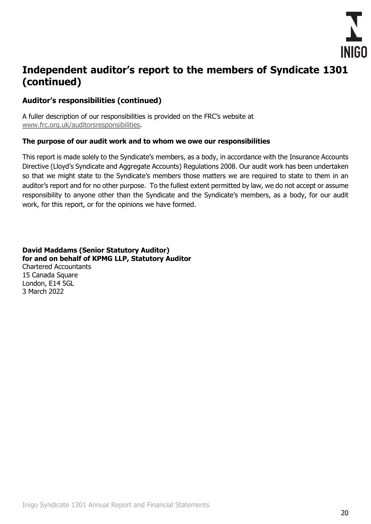

## **Auditor's responsibilities (continued)**

A fuller description of our responsibilities is provided on the FRC's website at [www.frc.org.uk/auditorsresponsibilities.](http://www.frc.org.uk/auditorsresponsibilities)

#### **The purpose of our audit work and to whom we owe our responsibilities**

This report is made solely to the Syndicate's members, as a body, in accordance with the Insurance Accounts Directive (Lloyd's Syndicate and Aggregate Accounts) Regulations 2008. Our audit work has been undertaken so that we might state to the Syndicate's members those matters we are required to state to them in an auditor's report and for no other purpose. To the fullest extent permitted by law, we do not accept or assume responsibility to anyone other than the Syndicate and the Syndicate's members, as a body, for our audit work, for this report, or for the opinions we have formed.

**David Maddams (Senior Statutory Auditor) for and on behalf of KPMG LLP, Statutory Auditor** Chartered Accountants 15 Canada Square London, E14 5GL 3 March 2022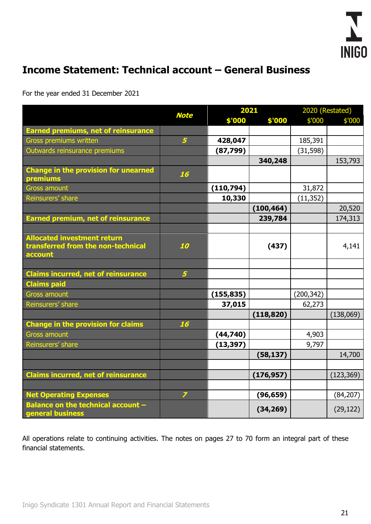

# <span id="page-22-0"></span>**Income Statement: Technical account – General Business**

For the year ended 31 December 2021

|                                                                                     | <b>Note</b>    |            | 2021       |            | 2020 (Restated) |  |
|-------------------------------------------------------------------------------------|----------------|------------|------------|------------|-----------------|--|
|                                                                                     |                | \$'000     | \$'000     | \$'000     | \$'000          |  |
| <b>Earned premiums, net of reinsurance</b>                                          |                |            |            |            |                 |  |
| Gross premiums written                                                              | 5 <sup>5</sup> | 428,047    |            | 185,391    |                 |  |
| Outwards reinsurance premiums                                                       |                | (87, 799)  |            | (31, 598)  |                 |  |
|                                                                                     |                |            | 340,248    |            | 153,793         |  |
| <b>Change in the provision for unearned</b><br>premiums                             | 16             |            |            |            |                 |  |
| <b>Gross amount</b>                                                                 |                | (110, 794) |            | 31,872     |                 |  |
| Reinsurers' share                                                                   |                | 10,330     |            | (11, 352)  |                 |  |
|                                                                                     |                |            | (100, 464) |            | 20,520          |  |
| <b>Earned premium, net of reinsurance</b>                                           |                |            | 239,784    |            | 174,313         |  |
|                                                                                     |                |            |            |            |                 |  |
| <b>Allocated investment return</b><br>transferred from the non-technical<br>account | 10             |            | (437)      |            | 4,141           |  |
|                                                                                     |                |            |            |            |                 |  |
| <b>Claims incurred, net of reinsurance</b>                                          | 5 <sup>1</sup> |            |            |            |                 |  |
| <b>Claims paid</b>                                                                  |                |            |            |            |                 |  |
| <b>Gross amount</b>                                                                 |                | (155, 835) |            | (200, 342) |                 |  |
| Reinsurers' share                                                                   |                | 37,015     |            | 62,273     |                 |  |
|                                                                                     |                |            | (118, 820) |            | (138,069)       |  |
| <b>Change in the provision for claims</b>                                           | 16             |            |            |            |                 |  |
| <b>Gross amount</b>                                                                 |                | (44, 740)  |            | 4,903      |                 |  |
| Reinsurers' share                                                                   |                | (13, 397)  |            | 9,797      |                 |  |
|                                                                                     |                |            | (58, 137)  |            | 14,700          |  |
|                                                                                     |                |            |            |            |                 |  |
| <b>Claims incurred, net of reinsurance</b>                                          |                |            | (176, 957) |            | (123, 369)      |  |
|                                                                                     |                |            |            |            |                 |  |
| <b>Net Operating Expenses</b>                                                       | $\overline{z}$ |            | (96, 659)  |            | (84, 207)       |  |
| Balance on the technical account -<br>general business                              |                |            | (34, 269)  |            | (29, 122)       |  |

All operations relate to continuing activities. The notes on pages 27 to 70 form an integral part of these financial statements.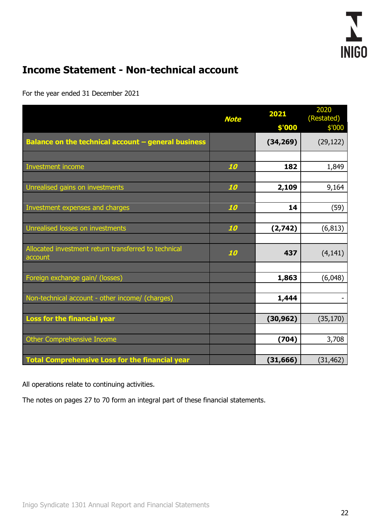# <span id="page-23-0"></span>**Income Statement - Non-technical account**

For the year ended 31 December 2021

|                                                                 | <b>Note</b> | 2021<br>\$'000 | 2020<br>(Restated)<br>\$'000 |
|-----------------------------------------------------------------|-------------|----------------|------------------------------|
| Balance on the technical account - general business             |             | (34, 269)      | (29, 122)                    |
|                                                                 |             |                |                              |
| Investment income                                               | 10          | 182            | 1,849                        |
|                                                                 |             |                |                              |
| Unrealised gains on investments                                 | 10          | 2,109          | 9,164                        |
|                                                                 |             |                |                              |
| Investment expenses and charges                                 | 10          | 14             | (59)                         |
|                                                                 |             |                |                              |
| Unrealised losses on investments                                | 10          | (2,742)        | (6, 813)                     |
|                                                                 |             |                |                              |
| Allocated investment return transferred to technical<br>account | 10          | 437            | (4, 141)                     |
|                                                                 |             |                |                              |
| Foreign exchange gain/ (losses)                                 |             | 1,863          | (6,048)                      |
|                                                                 |             |                |                              |
| Non-technical account - other income/ (charges)                 |             | 1,444          |                              |
|                                                                 |             |                |                              |
| Loss for the financial year                                     |             | (30, 962)      | (35, 170)                    |
|                                                                 |             |                |                              |
| Other Comprehensive Income                                      |             | (704)          | 3,708                        |
|                                                                 |             |                |                              |
| Total Comprehensive Loss for the financial year                 |             | (31, 666)      | (31, 462)                    |

All operations relate to continuing activities.

The notes on pages 27 to 70 form an integral part of these financial statements.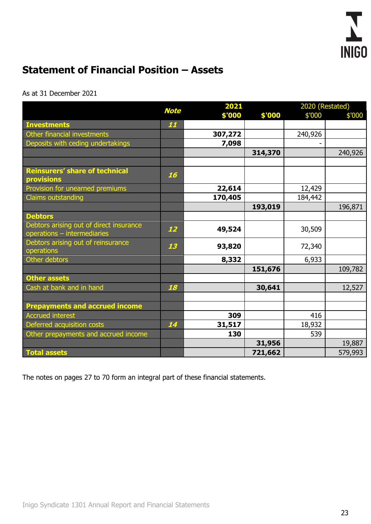

# <span id="page-24-0"></span>**Statement of Financial Position – Assets**

#### As at 31 December 2021

|                                                                        |    |         | 2021<br><b>Note</b> |         |         |  | 2020 (Restated) |  |
|------------------------------------------------------------------------|----|---------|---------------------|---------|---------|--|-----------------|--|
|                                                                        |    | \$'000  | \$'000              | \$'000  | \$'000  |  |                 |  |
| <b>Investments</b>                                                     | 11 |         |                     |         |         |  |                 |  |
| Other financial investments                                            |    | 307,272 |                     | 240,926 |         |  |                 |  |
| Deposits with ceding undertakings                                      |    | 7,098   |                     |         |         |  |                 |  |
|                                                                        |    |         | 314,370             |         | 240,926 |  |                 |  |
|                                                                        |    |         |                     |         |         |  |                 |  |
| <b>Reinsurers' share of technical</b><br><b>provisions</b>             | 16 |         |                     |         |         |  |                 |  |
| Provision for unearned premiums                                        |    | 22,614  |                     | 12,429  |         |  |                 |  |
| <b>Claims outstanding</b>                                              |    | 170,405 |                     | 184,442 |         |  |                 |  |
|                                                                        |    |         | 193,019             |         | 196,871 |  |                 |  |
| <b>Debtors</b>                                                         |    |         |                     |         |         |  |                 |  |
| Debtors arising out of direct insurance<br>operations - intermediaries | 12 | 49,524  |                     | 30,509  |         |  |                 |  |
| Debtors arising out of reinsurance<br>operations                       | 13 | 93,820  |                     | 72,340  |         |  |                 |  |
| Other debtors                                                          |    | 8,332   |                     | 6,933   |         |  |                 |  |
|                                                                        |    |         | 151,676             |         | 109,782 |  |                 |  |
| <b>Other assets</b>                                                    |    |         |                     |         |         |  |                 |  |
| Cash at bank and in hand                                               | 18 |         | 30,641              |         | 12,527  |  |                 |  |
|                                                                        |    |         |                     |         |         |  |                 |  |
| <b>Prepayments and accrued income</b>                                  |    |         |                     |         |         |  |                 |  |
| Accrued interest                                                       |    | 309     |                     | 416     |         |  |                 |  |
| Deferred acquisition costs                                             | 14 | 31,517  |                     | 18,932  |         |  |                 |  |
| Other prepayments and accrued income                                   |    | 130     |                     | 539     |         |  |                 |  |
|                                                                        |    |         | 31,956              |         | 19,887  |  |                 |  |
| <b>Total assets</b>                                                    |    |         | 721,662             |         | 579,993 |  |                 |  |

The notes on pages 27 to 70 form an integral part of these financial statements.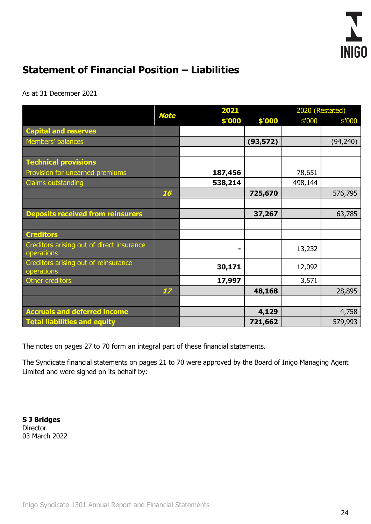

# <span id="page-25-0"></span>**Statement of Financial Position – Liabilities**

As at 31 December 2021

|                                                         | <b>Note</b> | 2021    |           |         | 2020 (Restated) |
|---------------------------------------------------------|-------------|---------|-----------|---------|-----------------|
|                                                         |             | \$'000  | \$'000    | \$'000  | \$'000          |
| <b>Capital and reserves</b>                             |             |         |           |         |                 |
| Members' balances                                       |             |         | (93, 572) |         | (94, 240)       |
|                                                         |             |         |           |         |                 |
| <b>Technical provisions</b>                             |             |         |           |         |                 |
| Provision for unearned premiums                         |             | 187,456 |           | 78,651  |                 |
| Claims outstanding                                      |             | 538,214 |           | 498,144 |                 |
|                                                         | 16          |         | 725,670   |         | 576,795         |
|                                                         |             |         |           |         |                 |
| <b>Deposits received from reinsurers</b>                |             |         | 37,267    |         | 63,785          |
|                                                         |             |         |           |         |                 |
| <b>Creditors</b>                                        |             |         |           |         |                 |
| Creditors arising out of direct insurance<br>operations |             |         |           | 13,232  |                 |
| Creditors arising out of reinsurance<br>operations      |             | 30,171  |           | 12,092  |                 |
| Other creditors                                         |             | 17,997  |           | 3,571   |                 |
|                                                         | 17          |         | 48,168    |         | 28,895          |
|                                                         |             |         |           |         |                 |
| <b>Accruals and deferred income</b>                     |             |         | 4,129     |         | 4,758           |
| <b>Total liabilities and equity</b>                     |             |         | 721,662   |         | 579,993         |

The notes on pages 27 to 70 form an integral part of these financial statements.

The Syndicate financial statements on pages 21 to 70 were approved by the Board of Inigo Managing Agent Limited and were signed on its behalf by:

**S J Bridges Director** 03 March 2022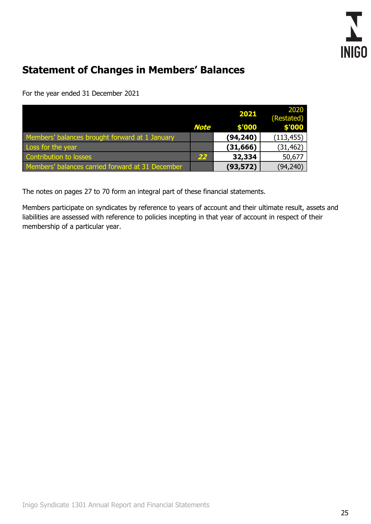

# <span id="page-26-0"></span>**Statement of Changes in Members' Balances**

For the year ended 31 December 2021

|                                                  |             | 2021      | 2020<br>(Restated) |
|--------------------------------------------------|-------------|-----------|--------------------|
|                                                  | <b>Note</b> | \$'000    | \$'000             |
| Members' balances brought forward at 1 January   |             | (94, 240) | (113, 455)         |
| Loss for the year                                |             | (31, 666) | (31, 462)          |
| Contribution to losses                           | 22          | 32,334    | 50,677             |
| Members' balances carried forward at 31 December |             | (93, 572) | (94, 240)          |

The notes on pages 27 to 70 form an integral part of these financial statements.

Members participate on syndicates by reference to years of account and their ultimate result, assets and liabilities are assessed with reference to policies incepting in that year of account in respect of their membership of a particular year.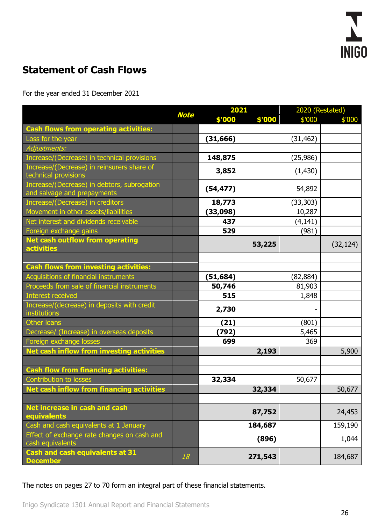

# <span id="page-27-0"></span>**Statement of Cash Flows**

For the year ended 31 December 2021

|                                                                            |             | 2021      |         | 2020 (Restated) |           |
|----------------------------------------------------------------------------|-------------|-----------|---------|-----------------|-----------|
|                                                                            | <b>Note</b> | \$'000    | \$'000  | \$'000          | \$'000    |
| <b>Cash flows from operating activities:</b>                               |             |           |         |                 |           |
| Loss for the year                                                          |             | (31, 666) |         | (31, 462)       |           |
| Adjustments:                                                               |             |           |         |                 |           |
| Increase/(Decrease) in technical provisions                                |             | 148,875   |         | (25,986)        |           |
| Increase/(Decrease) in reinsurers share of<br>technical provisions         |             | 3,852     |         | (1, 430)        |           |
| Increase/(Decrease) in debtors, subrogation<br>and salvage and prepayments |             | (54, 477) |         | 54,892          |           |
| Increase/(Decrease) in creditors                                           |             | 18,773    |         | (33,303)        |           |
| Movement in other assets/liabilities                                       |             | (33,098)  |         | 10,287          |           |
| Net interest and dividends receivable                                      |             | 437       |         | (4, 141)        |           |
| Foreign exchange gains                                                     |             | 529       |         | (981)           |           |
| Net cash outflow from operating<br>activities                              |             |           | 53,225  |                 | (32, 124) |
|                                                                            |             |           |         |                 |           |
| <b>Cash flows from investing activities:</b>                               |             |           |         |                 |           |
| Acquisitions of financial instruments                                      |             | (51, 684) |         | (82, 884)       |           |
| Proceeds from sale of financial instruments                                |             | 50,746    |         | 81,903          |           |
| Interest received                                                          |             | 515       |         | 1,848           |           |
| Increase/(decrease) in deposits with credit<br>institutions                |             | 2,730     |         |                 |           |
| Other loans                                                                |             | (21)      |         | (801)           |           |
| Decrease/ (Increase) in overseas deposits                                  |             | (792)     |         | 5,465           |           |
| Foreign exchange losses                                                    |             | 699       |         | 369             |           |
| Net cash inflow from investing activities                                  |             |           | 2,193   |                 | 5,900     |
|                                                                            |             |           |         |                 |           |
| <b>Cash flow from financing activities:</b>                                |             |           |         |                 |           |
| Contribution to losses                                                     |             | 32,334    |         | 50,677          |           |
| Net cash inflow from financing activities                                  |             |           | 32,334  |                 | 50,677    |
|                                                                            |             |           |         |                 |           |
| Net increase in cash and cash<br>equivalents                               |             |           | 87,752  |                 | 24,453    |
| Cash and cash equivalents at 1 January                                     |             |           | 184,687 |                 | 159,190   |
| Effect of exchange rate changes on cash and<br>cash equivalents            |             |           | (896)   |                 | 1,044     |
| <b>Cash and cash equivalents at 31</b><br><b>December</b>                  | 18          |           | 271,543 |                 | 184,687   |

The notes on pages 27 to 70 form an integral part of these financial statements.

Inigo Syndicate 1301 Annual Report and Financial Statements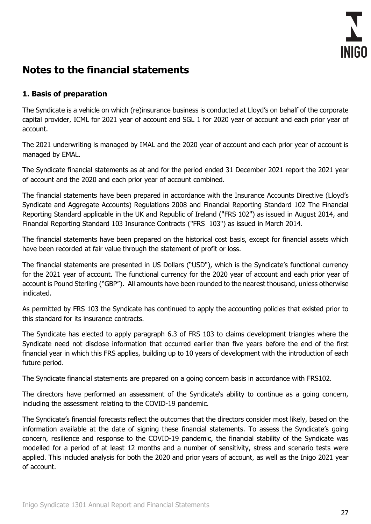

## <span id="page-28-0"></span>**Notes to the financial statements**

## **1. Basis of preparation**

The Syndicate is a vehicle on which (re)insurance business is conducted at Lloyd's on behalf of the corporate capital provider, ICML for 2021 year of account and SGL 1 for 2020 year of account and each prior year of account.

The 2021 underwriting is managed by IMAL and the 2020 year of account and each prior year of account is managed by EMAL.

The Syndicate financial statements as at and for the period ended 31 December 2021 report the 2021 year of account and the 2020 and each prior year of account combined.

The financial statements have been prepared in accordance with the Insurance Accounts Directive (Lloyd's Syndicate and Aggregate Accounts) Regulations 2008 and Financial Reporting Standard 102 The Financial Reporting Standard applicable in the UK and Republic of Ireland ("FRS 102") as issued in August 2014, and Financial Reporting Standard 103 Insurance Contracts ("FRS 103") as issued in March 2014.

The financial statements have been prepared on the historical cost basis, except for financial assets which have been recorded at fair value through the statement of profit or loss.

The financial statements are presented in US Dollars ("USD"), which is the Syndicate's functional currency for the 2021 year of account. The functional currency for the 2020 year of account and each prior year of account is Pound Sterling ("GBP"). All amounts have been rounded to the nearest thousand, unless otherwise indicated.

As permitted by FRS 103 the Syndicate has continued to apply the accounting policies that existed prior to this standard for its insurance contracts.

The Syndicate has elected to apply paragraph 6.3 of FRS 103 to claims development triangles where the Syndicate need not disclose information that occurred earlier than five years before the end of the first financial year in which this FRS applies, building up to 10 years of development with the introduction of each future period.

The Syndicate financial statements are prepared on a going concern basis in accordance with FRS102.

The directors have performed an assessment of the Syndicate's ability to continue as a going concern, including the assessment relating to the COVID-19 pandemic.

The Syndicate's financial forecasts reflect the outcomes that the directors consider most likely, based on the information available at the date of signing these financial statements. To assess the Syndicate's going concern, resilience and response to the COVID-19 pandemic, the financial stability of the Syndicate was modelled for a period of at least 12 months and a number of sensitivity, stress and scenario tests were applied. This included analysis for both the 2020 and prior years of account, as well as the Inigo 2021 year of account.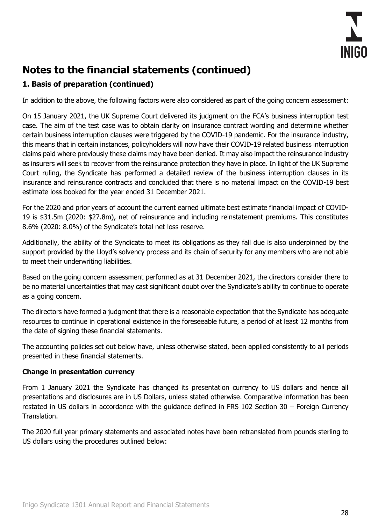

## **1. Basis of preparation (continued)**

In addition to the above, the following factors were also considered as part of the going concern assessment:

On 15 January 2021, the UK Supreme Court delivered its judgment on the FCA's business interruption test case. The aim of the test case was to obtain clarity on insurance contract wording and determine whether certain business interruption clauses were triggered by the COVID-19 pandemic. For the insurance industry, this means that in certain instances, policyholders will now have their COVID-19 related business interruption claims paid where previously these claims may have been denied. It may also impact the reinsurance industry as insurers will seek to recover from the reinsurance protection they have in place. In light of the UK Supreme Court ruling, the Syndicate has performed a detailed review of the business interruption clauses in its insurance and reinsurance contracts and concluded that there is no material impact on the COVID-19 best estimate loss booked for the year ended 31 December 2021.

For the 2020 and prior years of account the current earned ultimate best estimate financial impact of COVID-19 is \$31.5m (2020: \$27.8m), net of reinsurance and including reinstatement premiums. This constitutes 8.6% (2020: 8.0%) of the Syndicate's total net loss reserve.

Additionally, the ability of the Syndicate to meet its obligations as they fall due is also underpinned by the support provided by the Lloyd's solvency process and its chain of security for any members who are not able to meet their underwriting liabilities.

Based on the going concern assessment performed as at 31 December 2021, the directors consider there to be no material uncertainties that may cast significant doubt over the Syndicate's ability to continue to operate as a going concern.

The directors have formed a judgment that there is a reasonable expectation that the Syndicate has adequate resources to continue in operational existence in the foreseeable future, a period of at least 12 months from the date of signing these financial statements.

The accounting policies set out below have, unless otherwise stated, been applied consistently to all periods presented in these financial statements.

## **Change in presentation currency**

From 1 January 2021 the Syndicate has changed its presentation currency to US dollars and hence all presentations and disclosures are in US Dollars, unless stated otherwise. Comparative information has been restated in US dollars in accordance with the guidance defined in FRS 102 Section 30 – Foreign Currency Translation.

The 2020 full year primary statements and associated notes have been retranslated from pounds sterling to US dollars using the procedures outlined below: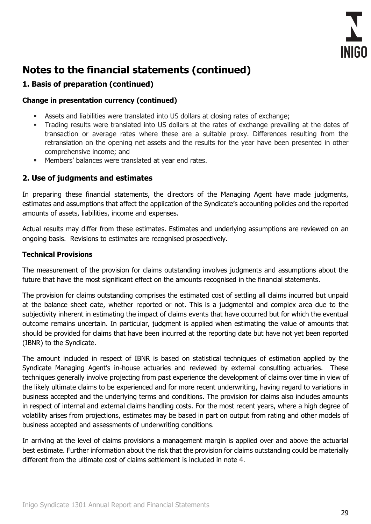

## **1. Basis of preparation (continued)**

#### **Change in presentation currency (continued)**

- Assets and liabilities were translated into US dollars at closing rates of exchange;
- Trading results were translated into US dollars at the rates of exchange prevailing at the dates of transaction or average rates where these are a suitable proxy. Differences resulting from the retranslation on the opening net assets and the results for the year have been presented in other comprehensive income; and
- Members' balances were translated at year end rates.

## **2. Use of judgments and estimates**

In preparing these financial statements, the directors of the Managing Agent have made judgments, estimates and assumptions that affect the application of the Syndicate's accounting policies and the reported amounts of assets, liabilities, income and expenses.

Actual results may differ from these estimates. Estimates and underlying assumptions are reviewed on an ongoing basis. Revisions to estimates are recognised prospectively.

#### **Technical Provisions**

The measurement of the provision for claims outstanding involves judgments and assumptions about the future that have the most significant effect on the amounts recognised in the financial statements.

The provision for claims outstanding comprises the estimated cost of settling all claims incurred but unpaid at the balance sheet date, whether reported or not. This is a judgmental and complex area due to the subjectivity inherent in estimating the impact of claims events that have occurred but for which the eventual outcome remains uncertain. In particular, judgment is applied when estimating the value of amounts that should be provided for claims that have been incurred at the reporting date but have not yet been reported (IBNR) to the Syndicate.

The amount included in respect of IBNR is based on statistical techniques of estimation applied by the Syndicate Managing Agent's in-house actuaries and reviewed by external consulting actuaries. These techniques generally involve projecting from past experience the development of claims over time in view of the likely ultimate claims to be experienced and for more recent underwriting, having regard to variations in business accepted and the underlying terms and conditions. The provision for claims also includes amounts in respect of internal and external claims handling costs. For the most recent years, where a high degree of volatility arises from projections, estimates may be based in part on output from rating and other models of business accepted and assessments of underwriting conditions.

In arriving at the level of claims provisions a management margin is applied over and above the actuarial best estimate. Further information about the risk that the provision for claims outstanding could be materially different from the ultimate cost of claims settlement is included in note 4.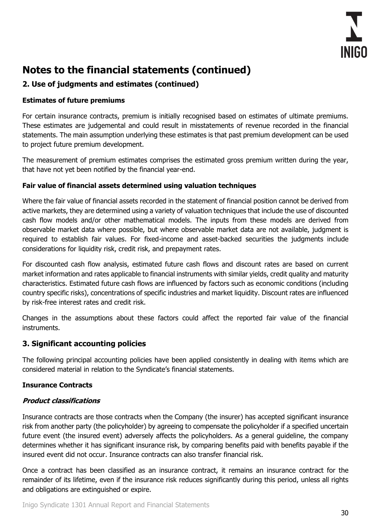

## **2. Use of judgments and estimates (continued)**

## **Estimates of future premiums**

For certain insurance contracts, premium is initially recognised based on estimates of ultimate premiums. These estimates are judgemental and could result in misstatements of revenue recorded in the financial statements. The main assumption underlying these estimates is that past premium development can be used to project future premium development.

The measurement of premium estimates comprises the estimated gross premium written during the year, that have not yet been notified by the financial year-end.

#### **Fair value of financial assets determined using valuation techniques**

Where the fair value of financial assets recorded in the statement of financial position cannot be derived from active markets, they are determined using a variety of valuation techniques that include the use of discounted cash flow models and/or other mathematical models. The inputs from these models are derived from observable market data where possible, but where observable market data are not available, judgment is required to establish fair values. For fixed-income and asset-backed securities the judgments include considerations for liquidity risk, credit risk, and prepayment rates.

For discounted cash flow analysis, estimated future cash flows and discount rates are based on current market information and rates applicable to financial instruments with similar yields, credit quality and maturity characteristics. Estimated future cash flows are influenced by factors such as economic conditions (including country specific risks), concentrations of specific industries and market liquidity. Discount rates are influenced by risk-free interest rates and credit risk.

Changes in the assumptions about these factors could affect the reported fair value of the financial instruments.

## **3. Significant accounting policies**

The following principal accounting policies have been applied consistently in dealing with items which are considered material in relation to the Syndicate's financial statements.

## **Insurance Contracts**

## **Product classifications**

Insurance contracts are those contracts when the Company (the insurer) has accepted significant insurance risk from another party (the policyholder) by agreeing to compensate the policyholder if a specified uncertain future event (the insured event) adversely affects the policyholders. As a general guideline, the company determines whether it has significant insurance risk, by comparing benefits paid with benefits payable if the insured event did not occur. Insurance contracts can also transfer financial risk.

Once a contract has been classified as an insurance contract, it remains an insurance contract for the remainder of its lifetime, even if the insurance risk reduces significantly during this period, unless all rights and obligations are extinguished or expire.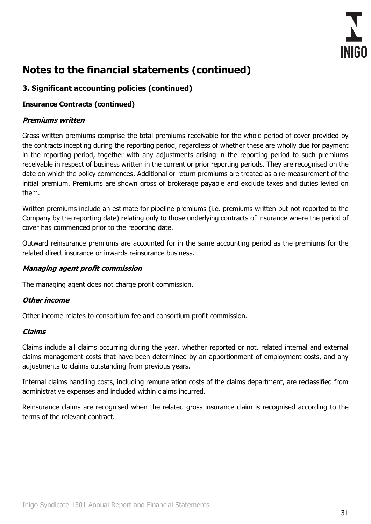

## **3. Significant accounting policies (continued)**

## **Insurance Contracts (continued)**

## **Premiums written**

Gross written premiums comprise the total premiums receivable for the whole period of cover provided by the contracts incepting during the reporting period, regardless of whether these are wholly due for payment in the reporting period, together with any adjustments arising in the reporting period to such premiums receivable in respect of business written in the current or prior reporting periods. They are recognised on the date on which the policy commences. Additional or return premiums are treated as a re-measurement of the initial premium. Premiums are shown gross of brokerage payable and exclude taxes and duties levied on them.

Written premiums include an estimate for pipeline premiums (i.e. premiums written but not reported to the Company by the reporting date) relating only to those underlying contracts of insurance where the period of cover has commenced prior to the reporting date.

Outward reinsurance premiums are accounted for in the same accounting period as the premiums for the related direct insurance or inwards reinsurance business.

#### **Managing agent profit commission**

The managing agent does not charge profit commission.

## **Other income**

Other income relates to consortium fee and consortium profit commission.

#### **Claims**

Claims include all claims occurring during the year, whether reported or not, related internal and external claims management costs that have been determined by an apportionment of employment costs, and any adjustments to claims outstanding from previous vears.

Internal claims handling costs, including remuneration costs of the claims department, are reclassified from administrative expenses and included within claims incurred.

Reinsurance claims are recognised when the related gross insurance claim is recognised according to the terms of the relevant contract.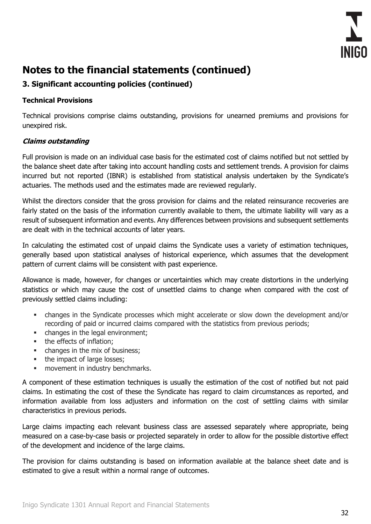

## **3. Significant accounting policies (continued)**

## **Technical Provisions**

Technical provisions comprise claims outstanding, provisions for unearned premiums and provisions for unexpired risk.

## **Claims outstanding**

Full provision is made on an individual case basis for the estimated cost of claims notified but not settled by the balance sheet date after taking into account handling costs and settlement trends. A provision for claims incurred but not reported (IBNR) is established from statistical analysis undertaken by the Syndicate's actuaries. The methods used and the estimates made are reviewed regularly.

Whilst the directors consider that the gross provision for claims and the related reinsurance recoveries are fairly stated on the basis of the information currently available to them, the ultimate liability will vary as a result of subsequent information and events. Any differences between provisions and subsequent settlements are dealt with in the technical accounts of later years.

In calculating the estimated cost of unpaid claims the Syndicate uses a variety of estimation techniques, generally based upon statistical analyses of historical experience, which assumes that the development pattern of current claims will be consistent with past experience.

Allowance is made, however, for changes or uncertainties which may create distortions in the underlying statistics or which may cause the cost of unsettled claims to change when compared with the cost of previously settled claims including:

- changes in the Syndicate processes which might accelerate or slow down the development and/or recording of paid or incurred claims compared with the statistics from previous periods;
- changes in the legal environment:
- the effects of inflation;
- changes in the mix of business;
- the impact of large losses;
- **■** movement in industry benchmarks.

A component of these estimation techniques is usually the estimation of the cost of notified but not paid claims. In estimating the cost of these the Syndicate has regard to claim circumstances as reported, and information available from loss adjusters and information on the cost of settling claims with similar characteristics in previous periods.

Large claims impacting each relevant business class are assessed separately where appropriate, being measured on a case-by-case basis or projected separately in order to allow for the possible distortive effect of the development and incidence of the large claims.

The provision for claims outstanding is based on information available at the balance sheet date and is estimated to give a result within a normal range of outcomes.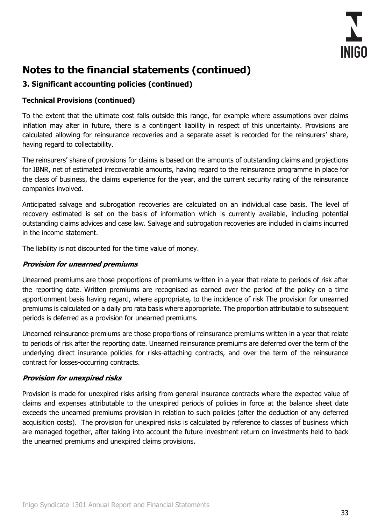

## **3. Significant accounting policies (continued)**

## **Technical Provisions (continued)**

To the extent that the ultimate cost falls outside this range, for example where assumptions over claims inflation may alter in future, there is a contingent liability in respect of this uncertainty. Provisions are calculated allowing for reinsurance recoveries and a separate asset is recorded for the reinsurers' share, having regard to collectability.

The reinsurers' share of provisions for claims is based on the amounts of outstanding claims and projections for IBNR, net of estimated irrecoverable amounts, having regard to the reinsurance programme in place for the class of business, the claims experience for the year, and the current security rating of the reinsurance companies involved.

Anticipated salvage and subrogation recoveries are calculated on an individual case basis. The level of recovery estimated is set on the basis of information which is currently available, including potential outstanding claims advices and case law. Salvage and subrogation recoveries are included in claims incurred in the income statement.

The liability is not discounted for the time value of money.

#### **Provision for unearned premiums**

Unearned premiums are those proportions of premiums written in a year that relate to periods of risk after the reporting date. Written premiums are recognised as earned over the period of the policy on a time apportionment basis having regard, where appropriate, to the incidence of risk The provision for unearned premiums is calculated on a daily pro rata basis where appropriate. The proportion attributable to subsequent periods is deferred as a provision for unearned premiums.

Unearned reinsurance premiums are those proportions of reinsurance premiums written in a year that relate to periods of risk after the reporting date. Unearned reinsurance premiums are deferred over the term of the underlying direct insurance policies for risks-attaching contracts, and over the term of the reinsurance contract for losses-occurring contracts.

## **Provision for unexpired risks**

Provision is made for unexpired risks arising from general insurance contracts where the expected value of claims and expenses attributable to the unexpired periods of policies in force at the balance sheet date exceeds the unearned premiums provision in relation to such policies (after the deduction of any deferred acquisition costs). The provision for unexpired risks is calculated by reference to classes of business which are managed together, after taking into account the future investment return on investments held to back the unearned premiums and unexpired claims provisions.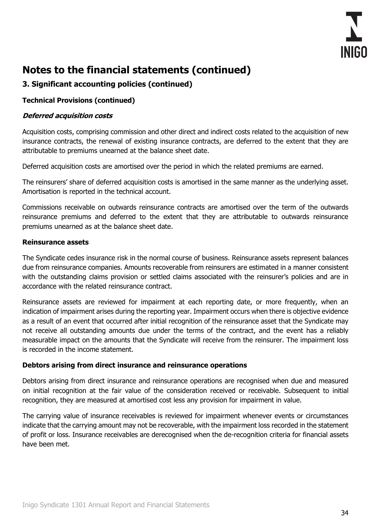

## **3. Significant accounting policies (continued)**

#### **Technical Provisions (continued)**

#### **Deferred acquisition costs**

Acquisition costs, comprising commission and other direct and indirect costs related to the acquisition of new insurance contracts, the renewal of existing insurance contracts, are deferred to the extent that they are attributable to premiums unearned at the balance sheet date.

Deferred acquisition costs are amortised over the period in which the related premiums are earned.

The reinsurers' share of deferred acquisition costs is amortised in the same manner as the underlying asset. Amortisation is reported in the technical account.

Commissions receivable on outwards reinsurance contracts are amortised over the term of the outwards reinsurance premiums and deferred to the extent that they are attributable to outwards reinsurance premiums unearned as at the balance sheet date.

#### **Reinsurance assets**

The Syndicate cedes insurance risk in the normal course of business. Reinsurance assets represent balances due from reinsurance companies. Amounts recoverable from reinsurers are estimated in a manner consistent with the outstanding claims provision or settled claims associated with the reinsurer's policies and are in accordance with the related reinsurance contract.

Reinsurance assets are reviewed for impairment at each reporting date, or more frequently, when an indication of impairment arises during the reporting year. Impairment occurs when there is objective evidence as a result of an event that occurred after initial recognition of the reinsurance asset that the Syndicate may not receive all outstanding amounts due under the terms of the contract, and the event has a reliably measurable impact on the amounts that the Syndicate will receive from the reinsurer. The impairment loss is recorded in the income statement.

#### **Debtors arising from direct insurance and reinsurance operations**

Debtors arising from direct insurance and reinsurance operations are recognised when due and measured on initial recognition at the fair value of the consideration received or receivable. Subsequent to initial recognition, they are measured at amortised cost less any provision for impairment in value.

The carrying value of insurance receivables is reviewed for impairment whenever events or circumstances indicate that the carrying amount may not be recoverable, with the impairment loss recorded in the statement of profit or loss. Insurance receivables are derecognised when the de-recognition criteria for financial assets have been met.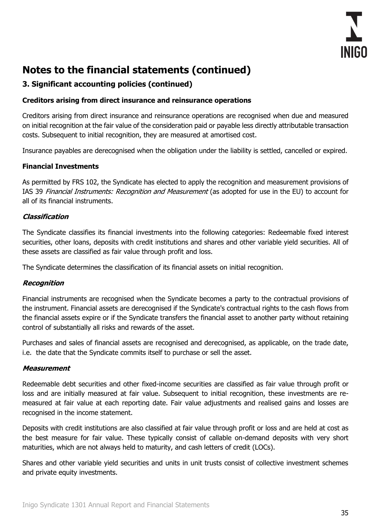

## **3. Significant accounting policies (continued)**

#### **Creditors arising from direct insurance and reinsurance operations**

Creditors arising from direct insurance and reinsurance operations are recognised when due and measured on initial recognition at the fair value of the consideration paid or payable less directly attributable transaction costs. Subsequent to initial recognition, they are measured at amortised cost.

Insurance payables are derecognised when the obligation under the liability is settled, cancelled or expired.

### **Financial Investments**

As permitted by FRS 102, the Syndicate has elected to apply the recognition and measurement provisions of IAS 39 Financial Instruments: Recognition and Measurement (as adopted for use in the EU) to account for all of its financial instruments.

#### **Classification**

The Syndicate classifies its financial investments into the following categories: Redeemable fixed interest securities, other loans, deposits with credit institutions and shares and other variable yield securities. All of these assets are classified as fair value through profit and loss.

The Syndicate determines the classification of its financial assets on initial recognition.

#### **Recognition**

Financial instruments are recognised when the Syndicate becomes a party to the contractual provisions of the instrument. Financial assets are derecognised if the Syndicate's contractual rights to the cash flows from the financial assets expire or if the Syndicate transfers the financial asset to another party without retaining control of substantially all risks and rewards of the asset.

Purchases and sales of financial assets are recognised and derecognised, as applicable, on the trade date, i.e. the date that the Syndicate commits itself to purchase or sell the asset.

#### **Measurement**

Redeemable debt securities and other fixed-income securities are classified as fair value through profit or loss and are initially measured at fair value. Subsequent to initial recognition, these investments are remeasured at fair value at each reporting date. Fair value adjustments and realised gains and losses are recognised in the income statement.

Deposits with credit institutions are also classified at fair value through profit or loss and are held at cost as the best measure for fair value. These typically consist of callable on-demand deposits with very short maturities, which are not always held to maturity, and cash letters of credit (LOCs).

Shares and other variable yield securities and units in unit trusts consist of collective investment schemes and private equity investments.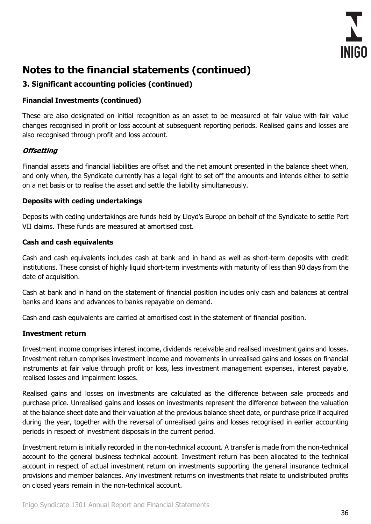

## **3. Significant accounting policies (continued)**

#### **Financial Investments (continued)**

These are also designated on initial recognition as an asset to be measured at fair value with fair value changes recognised in profit or loss account at subsequent reporting periods. Realised gains and losses are also recognised through profit and loss account.

### **Offsetting**

Financial assets and financial liabilities are offset and the net amount presented in the balance sheet when, and only when, the Syndicate currently has a legal right to set off the amounts and intends either to settle on a net basis or to realise the asset and settle the liability simultaneously.

#### **Deposits with ceding undertakings**

Deposits with ceding undertakings are funds held by Lloyd's Europe on behalf of the Syndicate to settle Part VII claims. These funds are measured at amortised cost.

#### **Cash and cash equivalents**

Cash and cash equivalents includes cash at bank and in hand as well as short-term deposits with credit institutions. These consist of highly liquid short-term investments with maturity of less than 90 days from the date of acquisition.

Cash at bank and in hand on the statement of financial position includes only cash and balances at central banks and loans and advances to banks repayable on demand.

Cash and cash equivalents are carried at amortised cost in the statement of financial position.

#### **Investment return**

Investment income comprises interest income, dividends receivable and realised investment gains and losses. Investment return comprises investment income and movements in unrealised gains and losses on financial instruments at fair value through profit or loss, less investment management expenses, interest payable, realised losses and impairment losses.

Realised gains and losses on investments are calculated as the difference between sale proceeds and purchase price. Unrealised gains and losses on investments represent the difference between the valuation at the balance sheet date and their valuation at the previous balance sheet date, or purchase price if acquired during the year, together with the reversal of unrealised gains and losses recognised in earlier accounting periods in respect of investment disposals in the current period.

Investment return is initially recorded in the non-technical account. A transfer is made from the non-technical account to the general business technical account. Investment return has been allocated to the technical account in respect of actual investment return on investments supporting the general insurance technical provisions and member balances. Any investment returns on investments that relate to undistributed profits on closed years remain in the non-technical account.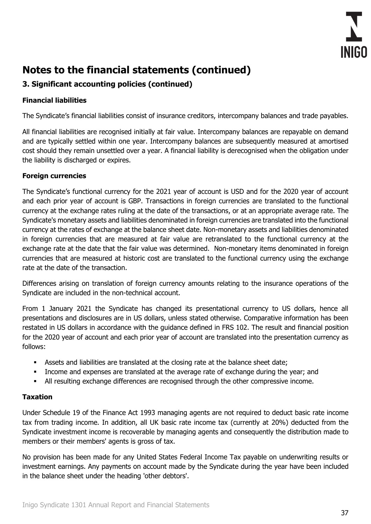

## **3. Significant accounting policies (continued)**

### **Financial liabilities**

The Syndicate's financial liabilities consist of insurance creditors, intercompany balances and trade payables.

All financial liabilities are recognised initially at fair value. Intercompany balances are repayable on demand and are typically settled within one year. Intercompany balances are subsequently measured at amortised cost should they remain unsettled over a year. A financial liability is derecognised when the obligation under the liability is discharged or expires.

#### **Foreign currencies**

The Syndicate's functional currency for the 2021 year of account is USD and for the 2020 year of account and each prior year of account is GBP. Transactions in foreign currencies are translated to the functional currency at the exchange rates ruling at the date of the transactions, or at an appropriate average rate. The Syndicate's monetary assets and liabilities denominated in foreign currencies are translated into the functional currency at the rates of exchange at the balance sheet date. Non-monetary assets and liabilities denominated in foreign currencies that are measured at fair value are retranslated to the functional currency at the exchange rate at the date that the fair value was determined. Non-monetary items denominated in foreign currencies that are measured at historic cost are translated to the functional currency using the exchange rate at the date of the transaction.

Differences arising on translation of foreign currency amounts relating to the insurance operations of the Syndicate are included in the non-technical account.

From 1 January 2021 the Syndicate has changed its presentational currency to US dollars, hence all presentations and disclosures are in US dollars, unless stated otherwise. Comparative information has been restated in US dollars in accordance with the guidance defined in FRS 102. The result and financial position for the 2020 year of account and each prior year of account are translated into the presentation currency as follows:

- **EXEL** Assets and liabilities are translated at the closing rate at the balance sheet date;
- Income and expenses are translated at the average rate of exchange during the year; and
- All resulting exchange differences are recognised through the other compressive income.

#### **Taxation**

Under Schedule 19 of the Finance Act 1993 managing agents are not required to deduct basic rate income tax from trading income. In addition, all UK basic rate income tax (currently at 20%) deducted from the Syndicate investment income is recoverable by managing agents and consequently the distribution made to members or their members' agents is gross of tax.

No provision has been made for any United States Federal Income Tax payable on underwriting results or investment earnings. Any payments on account made by the Syndicate during the year have been included in the balance sheet under the heading 'other debtors'.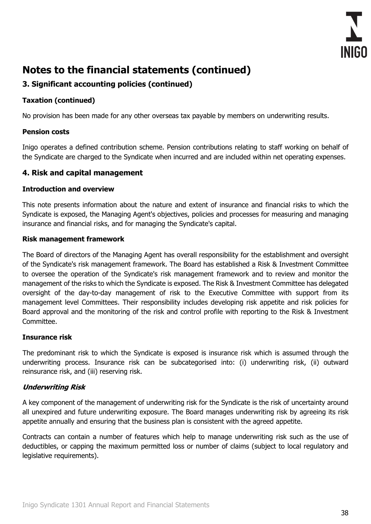

## **3. Significant accounting policies (continued)**

### **Taxation (continued)**

No provision has been made for any other overseas tax payable by members on underwriting results.

#### **Pension costs**

Inigo operates a defined contribution scheme. Pension contributions relating to staff working on behalf of the Syndicate are charged to the Syndicate when incurred and are included within net operating expenses.

#### **4. Risk and capital management**

#### **Introduction and overview**

This note presents information about the nature and extent of insurance and financial risks to which the Syndicate is exposed, the Managing Agent's objectives, policies and processes for measuring and managing insurance and financial risks, and for managing the Syndicate's capital.

#### **Risk management framework**

The Board of directors of the Managing Agent has overall responsibility for the establishment and oversight of the Syndicate's risk management framework. The Board has established a Risk & Investment Committee to oversee the operation of the Syndicate's risk management framework and to review and monitor the management of the risks to which the Syndicate is exposed. The Risk & Investment Committee has delegated oversight of the day-to-day management of risk to the Executive Committee with support from its management level Committees. Their responsibility includes developing risk appetite and risk policies for Board approval and the monitoring of the risk and control profile with reporting to the Risk & Investment Committee.

#### **Insurance risk**

The predominant risk to which the Syndicate is exposed is insurance risk which is assumed through the underwriting process. Insurance risk can be subcategorised into: (i) underwriting risk, (ii) outward reinsurance risk, and (iii) reserving risk.

#### **Underwriting Risk**

A key component of the management of underwriting risk for the Syndicate is the risk of uncertainty around all unexpired and future underwriting exposure. The Board manages underwriting risk by agreeing its risk appetite annually and ensuring that the business plan is consistent with the agreed appetite.

Contracts can contain a number of features which help to manage underwriting risk such as the use of deductibles, or capping the maximum permitted loss or number of claims (subject to local regulatory and legislative requirements).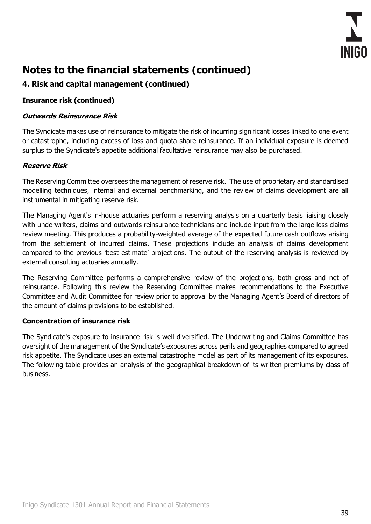

## **4. Risk and capital management (continued)**

#### **Insurance risk (continued)**

#### **Outwards Reinsurance Risk**

The Syndicate makes use of reinsurance to mitigate the risk of incurring significant losses linked to one event or catastrophe, including excess of loss and quota share reinsurance. If an individual exposure is deemed surplus to the Syndicate's appetite additional facultative reinsurance may also be purchased.

### **Reserve Risk**

The Reserving Committee oversees the management of reserve risk. The use of proprietary and standardised modelling techniques, internal and external benchmarking, and the review of claims development are all instrumental in mitigating reserve risk.

The Managing Agent's in-house actuaries perform a reserving analysis on a quarterly basis liaising closely with underwriters, claims and outwards reinsurance technicians and include input from the large loss claims review meeting. This produces a probability-weighted average of the expected future cash outflows arising from the settlement of incurred claims. These projections include an analysis of claims development compared to the previous 'best estimate' projections. The output of the reserving analysis is reviewed by external consulting actuaries annually.

The Reserving Committee performs a comprehensive review of the projections, both gross and net of reinsurance. Following this review the Reserving Committee makes recommendations to the Executive Committee and Audit Committee for review prior to approval by the Managing Agent's Board of directors of the amount of claims provisions to be established.

#### **Concentration of insurance risk**

The Syndicate's exposure to insurance risk is well diversified. The Underwriting and Claims Committee has oversight of the management of the Syndicate's exposures across perils and geographies compared to agreed risk appetite. The Syndicate uses an external catastrophe model as part of its management of its exposures. The following table provides an analysis of the geographical breakdown of its written premiums by class of business.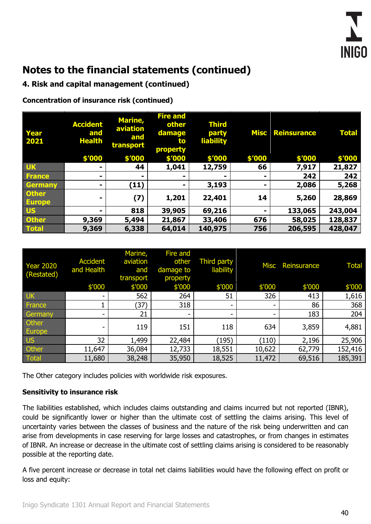### **4. Risk and capital management (continued)**

**Concentration of insurance risk (continued)**

| Year<br><b>2021</b>           | <b>Accident</b><br>and<br><b>Health</b> | <b>Marine,</b><br>aviation<br>and<br>transport | <b>Fire and</b><br>other<br>damage<br>to<br>property | <b>Third</b><br>party<br><b>liability</b> | <b>Misc</b>    | <b>Reinsurance</b> | <b>Total</b> |
|-------------------------------|-----------------------------------------|------------------------------------------------|------------------------------------------------------|-------------------------------------------|----------------|--------------------|--------------|
|                               | \$'000                                  | \$'000                                         | \$'000                                               | \$'000                                    | \$'000         | \$'000             | \$'000       |
| <b>UK</b>                     | ۰                                       | 44                                             | 1,041                                                | 12,759                                    | 66             | 7,917              | 21,827       |
| <b>France</b>                 |                                         | ۰                                              |                                                      |                                           |                | 242                | 242          |
| Germany                       | ۰                                       | (11)                                           | -                                                    | 3,193                                     | $\blacksquare$ | 2,086              | 5,268        |
| <b>Other</b><br><b>Europe</b> | -                                       | (7)                                            | 1,201                                                | 22,401                                    | 14             | 5,260              | 28,869       |
| <b>US</b>                     | -                                       | 818                                            | 39,905                                               | 69,216                                    |                | 133,065            | 243,004      |
| <b>Other</b>                  | 9,369                                   | 5,494                                          | 21,867                                               | 33,406                                    | 676            | 58,025             | 128,837      |
| <b>Total</b>                  | 9,369                                   | 6,338                                          | 64,014                                               | 140,975                                   | 756            | 206,595            | 428,047      |

| <b>Year 2020</b><br>(Restated) | <b>Accident</b><br>and Health | Marine,<br>aviation<br>and<br>transport | Fire and<br>other<br>damage to<br>property | <b>Third party</b><br>liability | <b>Misc</b> | Reinsurance | <b>Total</b> |
|--------------------------------|-------------------------------|-----------------------------------------|--------------------------------------------|---------------------------------|-------------|-------------|--------------|
|                                | \$'000                        | \$'000                                  | \$'000                                     | \$'000                          | \$'000      | \$'000      | \$'000       |
| <b>UK</b>                      |                               | 562                                     | 264                                        | 51                              | 326         | 413         | 1,616        |
| France                         |                               | (37)                                    | 318                                        | ۰                               |             | 86          | 368          |
| Germany                        | -                             | 21                                      | -                                          | -                               |             | 183         | 204          |
| Other<br>Europe                |                               | 119                                     | 151                                        | 118                             | 634         | 3,859       | 4,881        |
| <b>US</b>                      | 32                            | 1,499                                   | 22,484                                     | (195)                           | (110)       | 2,196       | 25,906       |
| Other                          | 11,647                        | 36,084                                  | 12,733                                     | 18,551                          | 10,622      | 62,779      | 152,416      |
| Total                          | 11,680                        | 38,248                                  | 35,950                                     | 18,525                          | 11,472      | 69,516      | 185,391      |

The Other category includes policies with worldwide risk exposures.

#### **Sensitivity to insurance risk**

The liabilities established, which includes claims outstanding and claims incurred but not reported (IBNR), could be significantly lower or higher than the ultimate cost of settling the claims arising. This level of uncertainty varies between the classes of business and the nature of the risk being underwritten and can arise from developments in case reserving for large losses and catastrophes, or from changes in estimates of IBNR. An increase or decrease in the ultimate cost of settling claims arising is considered to be reasonably possible at the reporting date.

A five percent increase or decrease in total net claims liabilities would have the following effect on profit or loss and equity: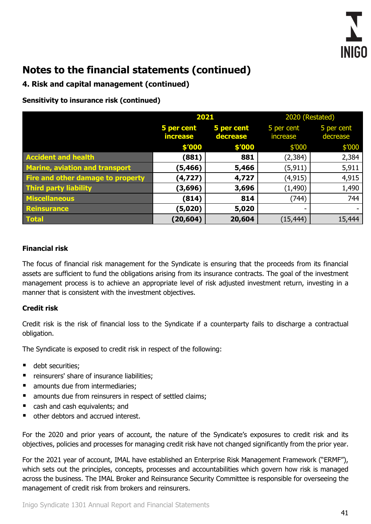

### **4. Risk and capital management (continued)**

**Sensitivity to insurance risk (continued)**

|                                       | 2021                                                    |        | 2020 (Restated)          |                        |  |
|---------------------------------------|---------------------------------------------------------|--------|--------------------------|------------------------|--|
|                                       | 5 per cent<br>5 per cent<br><b>increase</b><br>decrease |        | 5 per cent<br>increase   | 5 per cent<br>decrease |  |
|                                       | \$'000                                                  | \$'000 | \$′000                   | \$′000                 |  |
| <b>Accident and health</b>            | (881)                                                   | 881    | (2, 384)                 | 2,384                  |  |
| <b>Marine, aviation and transport</b> | (5, 466)                                                | 5,466  | (5, 911)                 | 5,911                  |  |
| Fire and other damage to property     | (4, 727)                                                | 4,727  | (4, 915)                 | 4,915                  |  |
| <b>Third party liability</b>          | (3,696)                                                 | 3,696  | (1, 490)                 | 1,490                  |  |
| <b>Miscellaneous</b>                  | (814)                                                   | 814    | (744)                    | 744                    |  |
| Reinsurance                           | (5,020)                                                 | 5,020  | $\overline{\phantom{a}}$ |                        |  |
| <b>Total</b>                          | (20, 604)                                               | 20,604 | (15, 444)                | 15,444                 |  |

#### **Financial risk**

The focus of financial risk management for the Syndicate is ensuring that the proceeds from its financial assets are sufficient to fund the obligations arising from its insurance contracts. The goal of the investment management process is to achieve an appropriate level of risk adjusted investment return, investing in a manner that is consistent with the investment objectives.

#### **Credit risk**

Credit risk is the risk of financial loss to the Syndicate if a counterparty fails to discharge a contractual obligation.

The Syndicate is exposed to credit risk in respect of the following:

- debt securities;
- reinsurers' share of insurance liabilities;
- amounts due from intermediaries;
- amounts due from reinsurers in respect of settled claims;
- cash and cash equivalents; and
- other debtors and accrued interest.

For the 2020 and prior years of account, the nature of the Syndicate's exposures to credit risk and its objectives, policies and processes for managing credit risk have not changed significantly from the prior year.

For the 2021 year of account, IMAL have established an Enterprise Risk Management Framework ("ERMF"), which sets out the principles, concepts, processes and accountabilities which govern how risk is managed across the business. The IMAL Broker and Reinsurance Security Committee is responsible for overseeing the management of credit risk from brokers and reinsurers.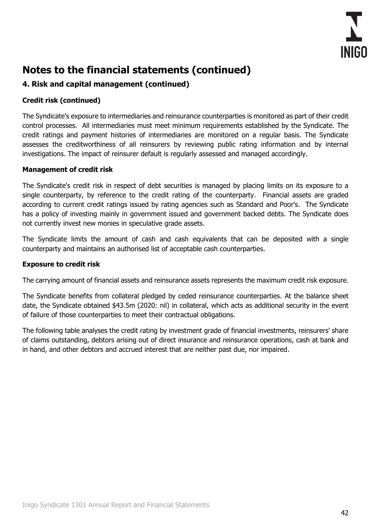

## **4. Risk and capital management (continued)**

#### **Credit risk (continued)**

The Syndicate's exposure to intermediaries and reinsurance counterparties is monitored as part of their credit control processes. All intermediaries must meet minimum requirements established by the Syndicate. The credit ratings and payment histories of intermediaries are monitored on a regular basis. The Syndicate assesses the creditworthiness of all reinsurers by reviewing public rating information and by internal investigations. The impact of reinsurer default is regularly assessed and managed accordingly.

#### **Management of credit risk**

The Syndicate's credit risk in respect of debt securities is managed by placing limits on its exposure to a single counterparty, by reference to the credit rating of the counterparty. Financial assets are graded according to current credit ratings issued by rating agencies such as Standard and Poor's. The Syndicate has a policy of investing mainly in government issued and government backed debts. The Syndicate does not currently invest new monies in speculative grade assets.

The Syndicate limits the amount of cash and cash equivalents that can be deposited with a single counterparty and maintains an authorised list of acceptable cash counterparties.

#### **Exposure to credit risk**

The carrying amount of financial assets and reinsurance assets represents the maximum credit risk exposure.

The Syndicate benefits from collateral pledged by ceded reinsurance counterparties. At the balance sheet date, the Syndicate obtained \$43.5m (2020: nil) in collateral, which acts as additional security in the event of failure of those counterparties to meet their contractual obligations.

The following table analyses the credit rating by investment grade of financial investments, reinsurers' share of claims outstanding, debtors arising out of direct insurance and reinsurance operations, cash at bank and in hand, and other debtors and accrued interest that are neither past due, nor impaired.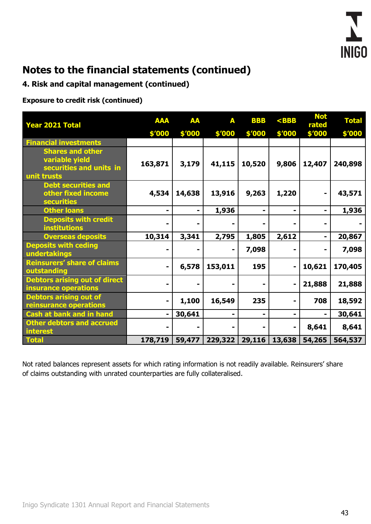

### **4. Risk and capital management (continued)**

**Exposure to credit risk (continued)**

| <b>Year 2021 Total</b>                                                              | <b>AAA</b> | <b>AA</b> | A       | <b>BBB</b> | $<$ BBB | <b>Not</b><br>rated | <b>Total</b> |
|-------------------------------------------------------------------------------------|------------|-----------|---------|------------|---------|---------------------|--------------|
|                                                                                     | \$'000     | \$'000    | \$'000  | \$'000     | \$'000  | \$'000              | \$'000       |
| <b>Financial investments</b>                                                        |            |           |         |            |         |                     |              |
| <b>Shares and other</b><br>variable yield<br>securities and units in<br>unit trusts | 163,871    | 3,179     | 41,115  | 10,520     | 9,806   | 12,407              | 240,898      |
| <b>Debt securities and</b><br>other fixed income<br><b>securities</b>               | 4,534      | 14,638    | 13,916  | 9,263      | 1,220   | -                   | 43,571       |
| <b>Other loans</b>                                                                  |            |           | 1,936   |            |         |                     | 1,936        |
| <b>Deposits with credit</b><br><b>institutions</b>                                  |            |           |         |            |         |                     |              |
| <b>Overseas deposits</b>                                                            | 10,314     | 3,341     | 2,795   | 1,805      | 2,612   | ۰                   | 20,867       |
| <b>Deposits with ceding</b><br>undertakings                                         |            |           | ۰       | 7,098      |         |                     | 7,098        |
| <b>Reinsurers' share of claims</b><br>outstanding                                   |            | 6,578     | 153,011 | 195        |         | 10,621              | 170,405      |
| <b>Debtors arising out of direct</b><br>insurance operations                        |            |           |         |            |         | 21,888              | 21,888       |
| <b>Debtors arising out of</b><br>reinsurance operations                             |            | 1,100     | 16,549  | 235        |         | 708                 | 18,592       |
| <b>Cash at bank and in hand</b>                                                     |            | 30,641    | ۰       | -          | ۰       | $\blacksquare$      | 30,641       |
| <b>Other debtors and accrued</b><br><b>interest</b>                                 |            |           |         |            |         | 8,641               | 8,641        |
| <b>Total</b>                                                                        | 178,719    | 59,477    | 229,322 | 29,116     | 13,638  | 54,265              | 564,537      |

Not rated balances represent assets for which rating information is not readily available. Reinsurers' share of claims outstanding with unrated counterparties are fully collateralised.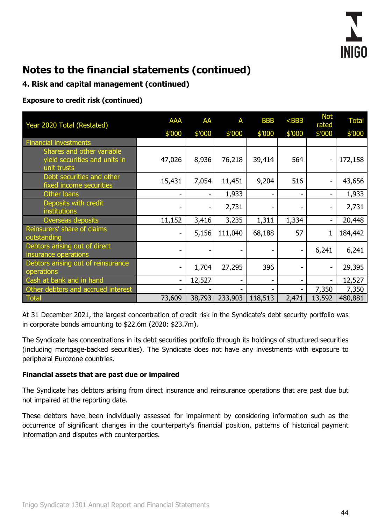

## **4. Risk and capital management (continued)**

**Exposure to credit risk (continued)**

| Year 2020 Total (Restated)                                                | <b>AAA</b>               | AA     | A       | <b>BBB</b>               | $<$ BBB | <b>Not</b><br>rated | <b>Total</b> |
|---------------------------------------------------------------------------|--------------------------|--------|---------|--------------------------|---------|---------------------|--------------|
|                                                                           | \$'000                   | \$'000 | \$'000  | \$′000                   | \$′000  | \$′000              | \$′000       |
| <b>Financial investments</b>                                              |                          |        |         |                          |         |                     |              |
| Shares and other variable<br>yield securities and units in<br>unit trusts | 47,026                   | 8,936  | 76,218  | 39,414                   | 564     |                     | 172,158      |
| Debt securities and other<br>fixed income securities                      | 15,431                   | 7,054  | 11,451  | 9,204                    | 516     |                     | 43,656       |
| Other loans                                                               | $\overline{\phantom{a}}$ |        | 1,933   | $\overline{\phantom{a}}$ |         |                     | 1,933        |
| Deposits with credit<br><i>institutions</i>                               |                          |        | 2,731   |                          |         |                     | 2,731        |
| Overseas deposits                                                         | 11,152                   | 3,416  | 3,235   | 1,311                    | 1,334   |                     | 20,448       |
| Reinsurers' share of claims<br>outstanding                                | ۰                        | 5,156  | 111,040 | 68,188                   | 57      | 1                   | 184,442      |
| Debtors arising out of direct<br>insurance operations                     |                          |        |         |                          |         | 6,241               | 6,241        |
| Debtors arising out of reinsurance<br>operations                          | $\overline{\phantom{0}}$ | 1,704  | 27,295  | 396                      |         |                     | 29,395       |
| Cash at bank and in hand                                                  | -                        | 12,527 |         | $\overline{\phantom{a}}$ |         |                     | 12,527       |
| Other debtors and accrued interest                                        |                          |        |         |                          |         | 7,350               | 7,350        |
| <b>Total</b>                                                              | 73,609                   | 38,793 | 233,903 | 118,513                  | 2,471   | 13,592              | 480,881      |

At 31 December 2021, the largest concentration of credit risk in the Syndicate's debt security portfolio was in corporate bonds amounting to \$22.6m (2020: \$23.7m).

The Syndicate has concentrations in its debt securities portfolio through its holdings of structured securities (including mortgage-backed securities). The Syndicate does not have any investments with exposure to peripheral Eurozone countries.

#### **Financial assets that are past due or impaired**

The Syndicate has debtors arising from direct insurance and reinsurance operations that are past due but not impaired at the reporting date.

These debtors have been individually assessed for impairment by considering information such as the occurrence of significant changes in the counterparty's financial position, patterns of historical payment information and disputes with counterparties.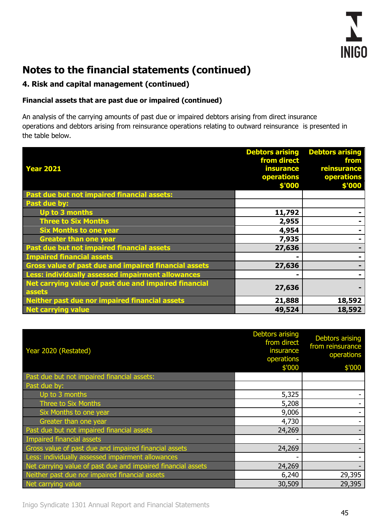

## **4. Risk and capital management (continued)**

### **Financial assets that are past due or impaired (continued)**

An analysis of the carrying amounts of past due or impaired debtors arising from direct insurance operations and debtors arising from reinsurance operations relating to outward reinsurance is presented in the table below.

|                                                                 | <b>Debtors arising</b> | <b>Debtors arising</b> |
|-----------------------------------------------------------------|------------------------|------------------------|
|                                                                 | from direct            | from                   |
| <b>Year 2021</b>                                                | <b>insurance</b>       | reinsurance            |
|                                                                 | operations             | operations             |
|                                                                 | \$'000                 | \$'000                 |
| Past due but not impaired financial assets:                     |                        |                        |
| Past due by:                                                    |                        |                        |
| Up to 3 months                                                  | 11,792                 |                        |
| <b>Three to Six Months</b>                                      | 2,955                  |                        |
| <b>Six Months to one year</b>                                   | 4,954                  |                        |
| <b>Greater than one year</b>                                    | 7,935                  |                        |
| Past due but not impaired financial assets                      | 27,636                 |                        |
| <b>Impaired financial assets</b>                                |                        |                        |
| <b>Gross value of past due and impaired financial assets</b>    | 27,636                 |                        |
| Less: individually assessed impairment allowances               | $\blacksquare$         |                        |
| Net carrying value of past due and impaired financial<br>assets | 27,636                 |                        |
| Neither past due nor impaired financial assets                  | 21,888                 | 18,592                 |
| <b>Net carrying value</b>                                       | 49,524                 | 18,592                 |

| Year 2020 (Restated)                                         | <b>Debtors arising</b><br>from direct<br>insurance<br>operations | <b>Debtors arising</b><br>from reinsurance<br>operations |
|--------------------------------------------------------------|------------------------------------------------------------------|----------------------------------------------------------|
|                                                              | \$'000                                                           | \$'000                                                   |
| Past due but not impaired financial assets:                  |                                                                  |                                                          |
| Past due by:                                                 |                                                                  |                                                          |
| Up to 3 months                                               | 5,325                                                            |                                                          |
| Three to Six Months                                          | 5,208                                                            |                                                          |
| Six Months to one year                                       | 9,006                                                            |                                                          |
| Greater than one year                                        | 4,730                                                            |                                                          |
| Past due but not impaired financial assets                   | 24,269                                                           |                                                          |
| Impaired financial assets                                    |                                                                  |                                                          |
| Gross value of past due and impaired financial assets        | 24,269                                                           |                                                          |
| Less: individually assessed impairment allowances            |                                                                  |                                                          |
| Net carrying value of past due and impaired financial assets | 24,269                                                           |                                                          |
| Neither past due nor impaired financial assets               | 6,240                                                            | 29,395                                                   |
| Net carrying value                                           | 30,509                                                           | 29,395                                                   |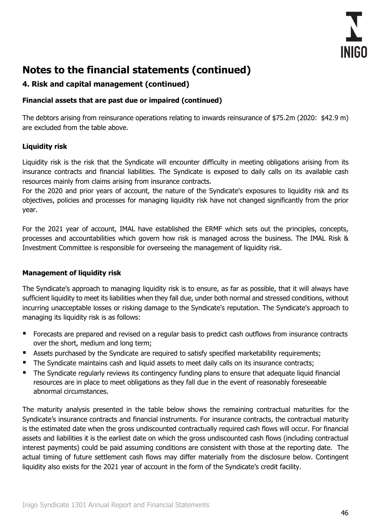

### **4. Risk and capital management (continued)**

### **Financial assets that are past due or impaired (continued)**

The debtors arising from reinsurance operations relating to inwards reinsurance of \$75.2m (2020: \$42.9 m) are excluded from the table above.

### **Liquidity risk**

Liquidity risk is the risk that the Syndicate will encounter difficulty in meeting obligations arising from its insurance contracts and financial liabilities. The Syndicate is exposed to daily calls on its available cash resources mainly from claims arising from insurance contracts.

For the 2020 and prior years of account, the nature of the Syndicate's exposures to liquidity risk and its objectives, policies and processes for managing liquidity risk have not changed significantly from the prior year.

For the 2021 year of account, IMAL have established the ERMF which sets out the principles, concepts, processes and accountabilities which govern how risk is managed across the business. The IMAL Risk & Investment Committee is responsible for overseeing the management of liquidity risk.

#### **Management of liquidity risk**

The Syndicate's approach to managing liquidity risk is to ensure, as far as possible, that it will always have sufficient liquidity to meet its liabilities when they fall due, under both normal and stressed conditions, without incurring unacceptable losses or risking damage to the Syndicate's reputation. The Syndicate's approach to managing its liquidity risk is as follows:

- Forecasts are prepared and revised on a regular basis to predict cash outflows from insurance contracts over the short, medium and long term;
- Assets purchased by the Syndicate are required to satisfy specified marketability requirements;
- The Syndicate maintains cash and liquid assets to meet daily calls on its insurance contracts;
- The Syndicate regularly reviews its contingency funding plans to ensure that adequate liquid financial resources are in place to meet obligations as they fall due in the event of reasonably foreseeable abnormal circumstances.

The maturity analysis presented in the table below shows the remaining contractual maturities for the Syndicate's insurance contracts and financial instruments. For insurance contracts, the contractual maturity is the estimated date when the gross undiscounted contractually required cash flows will occur. For financial assets and liabilities it is the earliest date on which the gross undiscounted cash flows (including contractual interest payments) could be paid assuming conditions are consistent with those at the reporting date. The actual timing of future settlement cash flows may differ materially from the disclosure below. Contingent liquidity also exists for the 2021 year of account in the form of the Syndicate's credit facility.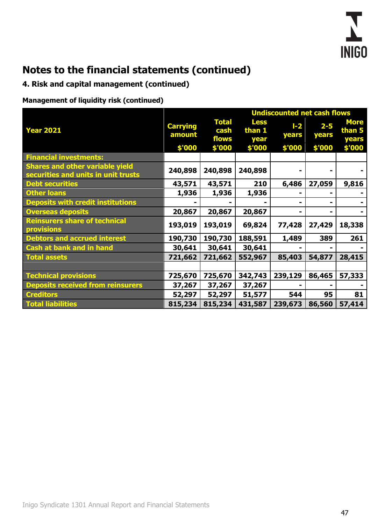

## **4. Risk and capital management (continued)**

**Management of liquidity risk (continued)**

|                                                                               | <b>Undiscounted net cash flows</b> |                               |                               |                  |                  |                                |  |
|-------------------------------------------------------------------------------|------------------------------------|-------------------------------|-------------------------------|------------------|------------------|--------------------------------|--|
| <b>Year 2021</b>                                                              | <b>Carrying</b><br>amount          | <b>Total</b><br>cash<br>flows | <b>Less</b><br>than 1<br>year | $I - 2$<br>years | $2 - 5$<br>years | <b>More</b><br>than 5<br>years |  |
|                                                                               | \$'000                             | \$'000                        | \$'000                        | \$'000           | \$'000           | \$'000                         |  |
| <b>Financial investments:</b>                                                 |                                    |                               |                               |                  |                  |                                |  |
| <b>Shares and other variable yield</b><br>securities and units in unit trusts | 240,898                            | 240,898                       | 240,898                       |                  |                  |                                |  |
| <b>Debt securities</b>                                                        | 43,571                             | 43,571                        | 210                           | 6,486            | 27,059           | 9,816                          |  |
| <b>Other loans</b>                                                            | 1,936                              | 1,936                         | 1,936                         |                  |                  |                                |  |
| <b>Deposits with credit institutions</b>                                      |                                    |                               |                               |                  |                  |                                |  |
| <b>Overseas deposits</b>                                                      | 20,867                             | 20,867                        | 20,867                        | ۰                |                  |                                |  |
| <b>Reinsurers share of technical</b><br><b>provisions</b>                     | 193,019                            | 193,019                       | 69,824                        | 77,428           | 27,429           | 18,338                         |  |
| <b>Debtors and accrued interest</b>                                           | 190,730                            | 190,730                       | 188,591                       | 1,489            | 389              | 261                            |  |
| <b>Cash at bank and in hand</b>                                               | 30,641                             | 30,641                        | 30,641                        |                  |                  |                                |  |
| <b>Total assets</b>                                                           | 721,662                            | 721,662                       | 552,967                       | 85,403           | 54,877           | 28,415                         |  |
|                                                                               |                                    |                               |                               |                  |                  |                                |  |
| <b>Technical provisions</b>                                                   | 725,670                            | 725,670                       | 342,743                       | 239,129          | 86,465           | 57,333                         |  |
| <b>Deposits received from reinsurers</b>                                      | 37,267                             | 37,267                        | 37,267                        |                  |                  |                                |  |
| <b>Creditors</b>                                                              | 52,297                             | 52,297                        | 51,577                        | 544              | 95               | 81                             |  |
| <b>Total liabilities</b>                                                      | 815,234                            | 815,234                       | 431,587                       | 239,673          | 86,560           | 57,414                         |  |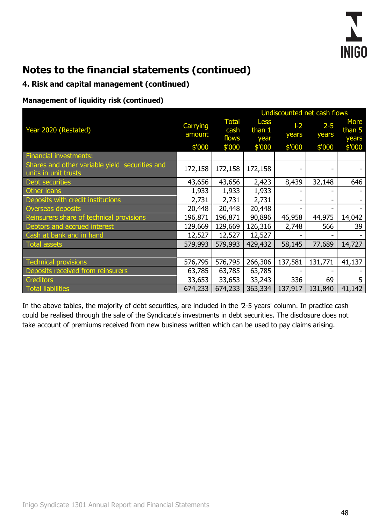

### **4. Risk and capital management (continued)**

#### **Management of liquidity risk (continued)**

|                                                                        | Undiscounted net cash flows |                               |                                 |               |                  |                                  |  |
|------------------------------------------------------------------------|-----------------------------|-------------------------------|---------------------------------|---------------|------------------|----------------------------------|--|
| Year 2020 (Restated)                                                   | Carrying<br>amount          | <b>Total</b><br>cash<br>flows | <b>Less</b><br>than $1$<br>year | $-2$<br>years | $2 - 5$<br>years | <b>More</b><br>than $5$<br>years |  |
|                                                                        | \$'000                      | \$'000                        | \$'000                          | \$'000        | \$'000           | \$'000                           |  |
| <b>Financial investments:</b>                                          |                             |                               |                                 |               |                  |                                  |  |
| Shares and other variable yield securities and<br>units in unit trusts | 172,158                     | 172,158                       | 172,158                         |               |                  |                                  |  |
| <b>Debt securities</b>                                                 | 43,656                      | 43,656                        | 2,423                           | 8,439         | 32,148           | 646                              |  |
| Other loans                                                            | 1,933                       | 1,933                         | 1,933                           |               |                  |                                  |  |
| Deposits with credit institutions                                      | 2,731                       | 2,731                         | 2,731                           |               |                  |                                  |  |
| Overseas deposits                                                      | 20,448                      | 20,448                        | 20,448                          |               |                  |                                  |  |
| Reinsurers share of technical provisions                               | 196,871                     | 196,871                       | 90,896                          | 46,958        | 44,975           | 14,042                           |  |
| Debtors and accrued interest                                           | 129,669                     | 129,669                       | 126,316                         | 2,748         | 566              | 39                               |  |
| Cash at bank and in hand                                               | 12,527                      | 12,527                        | 12,527                          |               |                  |                                  |  |
| <b>Total assets</b>                                                    | 579,993                     | 579,993                       | 429,432                         | 58,145        | 77,689           | 14,727                           |  |
|                                                                        |                             |                               |                                 |               |                  |                                  |  |
| <b>Technical provisions</b>                                            | 576,795                     | 576,795                       | 266,306                         | 137,581       | 131,771          | 41,137                           |  |
| Deposits received from reinsurers                                      | 63,785                      | 63,785                        | 63,785                          |               |                  |                                  |  |
| <b>Creditors</b>                                                       | 33,653                      | 33,653                        | 33,243                          | 336           | 69               | 5                                |  |
| Total liabilities                                                      | 674,233                     | 674,233                       | 363,334                         | 137,917       | 131,840          | 41,142                           |  |

In the above tables, the majority of debt securities, are included in the '2-5 years' column. In practice cash could be realised through the sale of the Syndicate's investments in debt securities. The disclosure does not take account of premiums received from new business written which can be used to pay claims arising.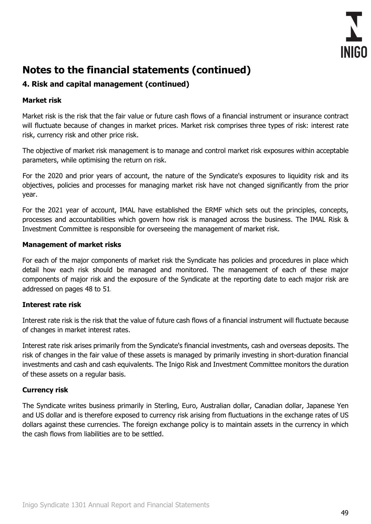

## **4. Risk and capital management (continued)**

#### **Market risk**

Market risk is the risk that the fair value or future cash flows of a financial instrument or insurance contract will fluctuate because of changes in market prices. Market risk comprises three types of risk: interest rate risk, currency risk and other price risk.

The objective of market risk management is to manage and control market risk exposures within acceptable parameters, while optimising the return on risk.

For the 2020 and prior years of account, the nature of the Syndicate's exposures to liquidity risk and its objectives, policies and processes for managing market risk have not changed significantly from the prior year.

For the 2021 year of account, IMAL have established the ERMF which sets out the principles, concepts, processes and accountabilities which govern how risk is managed across the business. The IMAL Risk & Investment Committee is responsible for overseeing the management of market risk.

#### **Management of market risks**

For each of the major components of market risk the Syndicate has policies and procedures in place which detail how each risk should be managed and monitored. The management of each of these major components of major risk and the exposure of the Syndicate at the reporting date to each major risk are addressed on pages 48 to 51.

#### **Interest rate risk**

Interest rate risk is the risk that the value of future cash flows of a financial instrument will fluctuate because of changes in market interest rates.

Interest rate risk arises primarily from the Syndicate's financial investments, cash and overseas deposits. The risk of changes in the fair value of these assets is managed by primarily investing in short-duration financial investments and cash and cash equivalents. The Inigo Risk and Investment Committee monitors the duration of these assets on a regular basis.

#### **Currency risk**

The Syndicate writes business primarily in Sterling, Euro, Australian dollar, Canadian dollar, Japanese Yen and US dollar and is therefore exposed to currency risk arising from fluctuations in the exchange rates of US dollars against these currencies. The foreign exchange policy is to maintain assets in the currency in which the cash flows from liabilities are to be settled.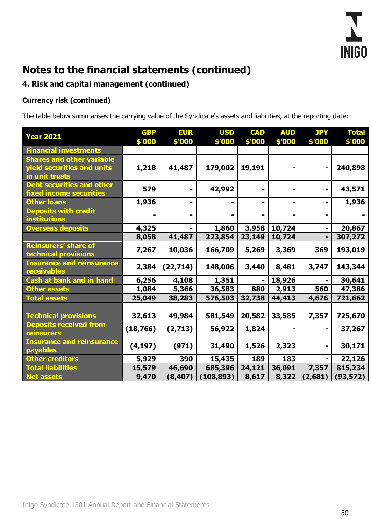

## **4. Risk and capital management (continued)**

## **Currency risk (continued)**

The table below summarises the carrying value of the Syndicate's assets and liabilities, at the reporting date:

| <b>Year 2021</b>                                                                 | <b>GBP</b><br>\$'000 | <b>EUR</b><br>\$'000 | <b>USD</b><br>\$'000 | <b>CAD</b><br>\$'000 | <b>AUD</b><br>\$'000 | <b>JPY</b><br>\$'000 | <b>Total</b><br>\$'000 |
|----------------------------------------------------------------------------------|----------------------|----------------------|----------------------|----------------------|----------------------|----------------------|------------------------|
| <b>Financial investments</b>                                                     |                      |                      |                      |                      |                      |                      |                        |
| <b>Shares and other variable</b><br>yield securities and units<br>in unit trusts | 1,218                | 41,487               | 179,002              | 19,191               |                      |                      | 240,898                |
| <b>Debt securities and other</b><br><b>fixed income securities</b>               | 579                  | ۰                    | 42,992               |                      |                      |                      | 43,571                 |
| <b>Other loans</b>                                                               | 1,936                | ۰                    |                      | ۰                    |                      |                      | 1,936                  |
| <b>Deposits with credit</b><br><b>institutions</b>                               |                      |                      |                      |                      |                      |                      |                        |
| <b>Overseas deposits</b>                                                         | 4,325                |                      | 1,860                | 3,958                | 10,724               |                      | 20,867                 |
|                                                                                  | 8,058                | 41,487               | 223,854              | 23,149               | 10,724               |                      | 307,272                |
| <b>Reinsurers' share of</b><br>technical provisions                              | 7,267                | 10,036               | 166,709              | 5,269                | 3,369                | 369                  | 193,019                |
| <b>Insurance and reinsurance</b><br>receivables                                  | 2,384                | (22, 714)            | 148,006              | 3,440                | 8,481                | 3,747                | 143,344                |
| <b>Cash at bank and in hand</b>                                                  | 6,256                | 4,108                | 1,351                |                      | 18,926               |                      | 30,641                 |
| <b>Other assets</b>                                                              | 1,084                | 5,366                | 36,583               | 880                  | 2,913                | 560                  | 47,386                 |
| <b>Total assets</b>                                                              | 25,049               | 38,283               | 576,503              | 32,738               | 44,413               | 4,676                | 721,662                |
|                                                                                  |                      |                      |                      |                      |                      |                      |                        |
| <b>Technical provisions</b>                                                      | 32,613               | 49,984               | 581,549              | 20,582               | 33,585               | 7,357                | 725,670                |
| <b>Deposits received from</b><br>reinsurers                                      | (18, 766)            | (2,713)              | 56,922               | 1,824                |                      |                      | 37,267                 |
| <b>Insurance and reinsurance</b><br>payables                                     | (4, 197)             | (971)                | 31,490               | 1,526                | 2,323                |                      | 30,171                 |
| <b>Other creditors</b>                                                           | 5,929                | 390                  | 15,435               | 189                  | 183                  |                      | 22,126                 |
| <b>Total liabilities</b>                                                         | 15,579               | 46,690               | 685,396              | 24,121               | 36,091               | 7,357                | 815,234                |
| <b>Net assets</b>                                                                | 9,470                | (8,407)              | (108, 893)           | 8,617                | 8,322                | (2,681)              | (93,572)               |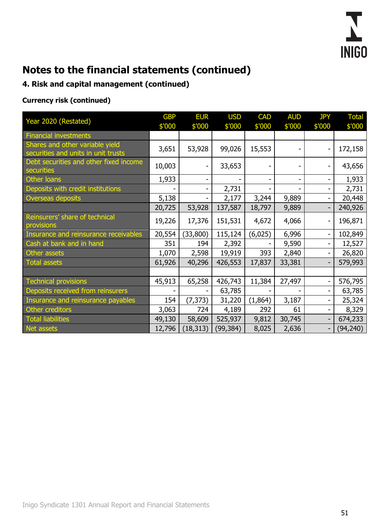

## **4. Risk and capital management (continued)**

## **Currency risk (continued)**

| Year 2020 (Restated)                                                   | <b>GBP</b><br>\$'000 | <b>EUR</b><br>\$'000 | <b>USD</b><br>\$'000 | <b>CAD</b><br>\$'000 | <b>AUD</b><br>\$'000 | <b>JPY</b><br>\$'000 | <b>Total</b><br>\$'000 |
|------------------------------------------------------------------------|----------------------|----------------------|----------------------|----------------------|----------------------|----------------------|------------------------|
| <b>Financial investments</b>                                           |                      |                      |                      |                      |                      |                      |                        |
| Shares and other variable yield<br>securities and units in unit trusts | 3,651                | 53,928               | 99,026               | 15,553               |                      |                      | 172,158                |
| Debt securities and other fixed income<br>securities                   | 10,003               | -                    | 33,653               |                      |                      |                      | 43,656                 |
| Other loans                                                            | 1,933                | Ξ.                   |                      |                      | $\blacksquare$       |                      | 1,933                  |
| Deposits with credit institutions                                      |                      | -                    | 2,731                |                      |                      |                      | 2,731                  |
| Overseas deposits                                                      | 5,138                |                      | 2,177                | 3,244                | 9,889                |                      | 20,448                 |
|                                                                        | 20,725               | 53,928               | 137,587              | 18,797               | 9,889                |                      | 240,926                |
| Reinsurers' share of technical<br>provisions                           | 19,226               | 17,376               | 151,531              | 4,672                | 4,066                |                      | 196,871                |
| Insurance and reinsurance receivables                                  | 20,554               | (33,800)             | 115,124              | (6,025)              | 6,996                | -                    | 102,849                |
| Cash at bank and in hand                                               | 351                  | 194                  | 2,392                |                      | 9,590                |                      | 12,527                 |
| Other assets                                                           | 1,070                | 2,598                | 19,919               | 393                  | 2,840                |                      | 26,820                 |
| Total assets                                                           | 61,926               | 40,296               | 426,553              | 17,837               | 33,381               |                      | 579,993                |
|                                                                        |                      |                      |                      |                      |                      |                      |                        |
| <b>Technical provisions</b>                                            | 45,913               | 65,258               | 426,743              | 11,384               | 27,497               |                      | 576,795                |
| Deposits received from reinsurers                                      |                      |                      | 63,785               |                      |                      |                      | 63,785                 |
| Insurance and reinsurance payables                                     | 154                  | (7, 373)             | 31,220               | (1,864)              | 3,187                |                      | 25,324                 |
| Other creditors                                                        | 3,063                | 724                  | 4,189                | 292                  | 61                   |                      | 8,329                  |
| <b>Total liabilities</b>                                               | 49,130               | 58,609               | 525,937              | 9,812                | 30,745               |                      | 674,233                |
| Net assets                                                             | 12,796               | (18, 313)            | (99, 384)            | 8,025                | 2,636                |                      | (94, 240)              |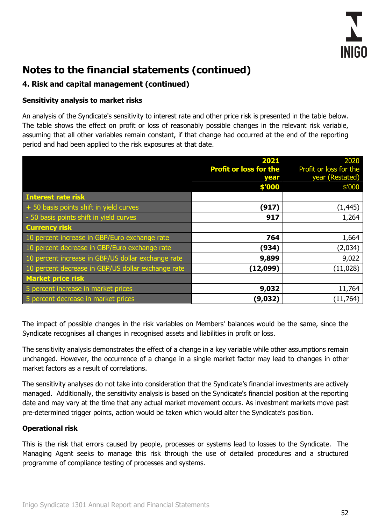

### **4. Risk and capital management (continued)**

#### **Sensitivity analysis to market risks**

An analysis of the Syndicate's sensitivity to interest rate and other price risk is presented in the table below. The table shows the effect on profit or loss of reasonably possible changes in the relevant risk variable, assuming that all other variables remain constant, if that change had occurred at the end of the reporting period and had been applied to the risk exposures at that date.

|                                                    | 2021                          | 2020                   |
|----------------------------------------------------|-------------------------------|------------------------|
|                                                    | <b>Profit or loss for the</b> | Profit or loss for the |
|                                                    | year                          | year (Restated)        |
|                                                    | \$'000                        | \$'000                 |
| Interest rate risk                                 |                               |                        |
| + 50 basis points shift in yield curves            | (917)                         | (1, 445)               |
| - 50 basis points shift in yield curves            | 917                           | 1,264                  |
| <b>Currency risk</b>                               |                               |                        |
| 10 percent increase in GBP/Euro exchange rate      | 764                           | 1,664                  |
| 10 percent decrease in GBP/Euro exchange rate      | (934)                         | (2,034)                |
| 10 percent increase in GBP/US dollar exchange rate | 9,899                         | 9,022                  |
| 10 percent decrease in GBP/US dollar exchange rate | (12,099)                      | (11,028)               |
| <b>Market price risk</b>                           |                               |                        |
| 5 percent increase in market prices                | 9,032                         | 11,764                 |
| 5 percent decrease in market prices                | (9,032)                       | (11, 764)              |

The impact of possible changes in the risk variables on Members' balances would be the same, since the Syndicate recognises all changes in recognised assets and liabilities in profit or loss.

The sensitivity analysis demonstrates the effect of a change in a key variable while other assumptions remain unchanged. However, the occurrence of a change in a single market factor may lead to changes in other market factors as a result of correlations.

The sensitivity analyses do not take into consideration that the Syndicate's financial investments are actively managed. Additionally, the sensitivity analysis is based on the Syndicate's financial position at the reporting date and may vary at the time that any actual market movement occurs. As investment markets move past pre-determined trigger points, action would be taken which would alter the Syndicate's position.

#### **Operational risk**

This is the risk that errors caused by people, processes or systems lead to losses to the Syndicate. The Managing Agent seeks to manage this risk through the use of detailed procedures and a structured programme of compliance testing of processes and systems.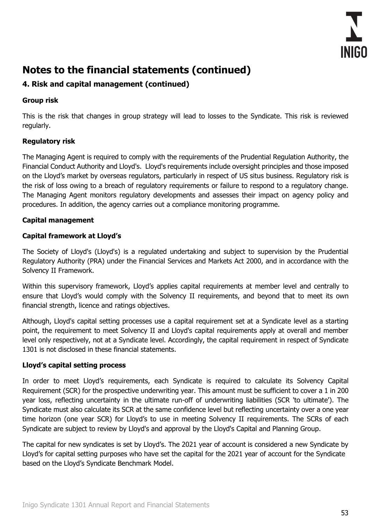

## **4. Risk and capital management (continued)**

### **Group risk**

This is the risk that changes in group strategy will lead to losses to the Syndicate. This risk is reviewed regularly.

### **Regulatory risk**

The Managing Agent is required to comply with the requirements of the Prudential Regulation Authority, the Financial Conduct Authority and Lloyd's. Lloyd's requirements include oversight principles and those imposed on the Lloyd's market by overseas regulators, particularly in respect of US situs business. Regulatory risk is the risk of loss owing to a breach of regulatory requirements or failure to respond to a regulatory change. The Managing Agent monitors regulatory developments and assesses their impact on agency policy and procedures. In addition, the agency carries out a compliance monitoring programme.

#### **Capital management**

### **Capital framework at Lloyd's**

The Society of Lloyd's (Lloyd's) is a regulated undertaking and subject to supervision by the Prudential Regulatory Authority (PRA) under the Financial Services and Markets Act 2000, and in accordance with the Solvency II Framework.

Within this supervisory framework, Lloyd's applies capital requirements at member level and centrally to ensure that Lloyd's would comply with the Solvency II requirements, and beyond that to meet its own financial strength, licence and ratings objectives.

Although, Lloyd's capital setting processes use a capital requirement set at a Syndicate level as a starting point, the requirement to meet Solvency II and Lloyd's capital requirements apply at overall and member level only respectively, not at a Syndicate level. Accordingly, the capital requirement in respect of Syndicate 1301 is not disclosed in these financial statements.

#### **Lloyd's capital setting process**

In order to meet Lloyd's requirements, each Syndicate is required to calculate its Solvency Capital Requirement (SCR) for the prospective underwriting year. This amount must be sufficient to cover a 1 in 200 year loss, reflecting uncertainty in the ultimate run-off of underwriting liabilities (SCR 'to ultimate'). The Syndicate must also calculate its SCR at the same confidence level but reflecting uncertainty over a one year time horizon (one year SCR) for Lloyd's to use in meeting Solvency II requirements. The SCRs of each Syndicate are subject to review by Lloyd's and approval by the Lloyd's Capital and Planning Group.

The capital for new syndicates is set by Lloyd's. The 2021 year of account is considered a new Syndicate by Lloyd's for capital setting purposes who have set the capital for the 2021 year of account for the Syndicate based on the Lloyd's Syndicate Benchmark Model.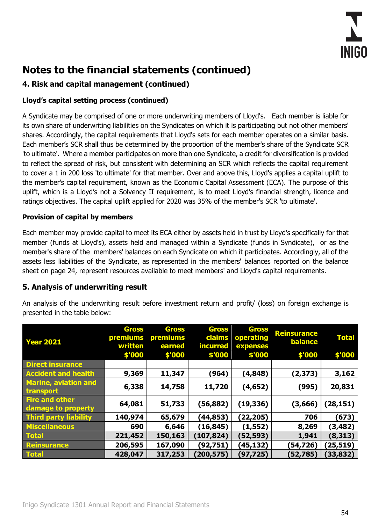

## **4. Risk and capital management (continued)**

### **Lloyd's capital setting process (continued)**

A Syndicate may be comprised of one or more underwriting members of Lloyd's. Each member is liable for its own share of underwriting liabilities on the Syndicates on which it is participating but not other members' shares. Accordingly, the capital requirements that Lloyd's sets for each member operates on a similar basis. Each member's SCR shall thus be determined by the proportion of the member's share of the Syndicate SCR 'to ultimate'. Where a member participates on more than one Syndicate, a credit for diversification is provided to reflect the spread of risk, but consistent with determining an SCR which reflects the capital requirement to cover a 1 in 200 loss 'to ultimate' for that member. Over and above this, Lloyd's applies a capital uplift to the member's capital requirement, known as the Economic Capital Assessment (ECA). The purpose of this uplift, which is a Lloyd's not a Solvency II requirement, is to meet Lloyd's financial strength, licence and ratings objectives. The capital uplift applied for 2020 was 35% of the member's SCR 'to ultimate'.

#### **Provision of capital by members**

Each member may provide capital to meet its ECA either by assets held in trust by Lloyd's specifically for that member (funds at Lloyd's), assets held and managed within a Syndicate (funds in Syndicate), or as the member's share of the members' balances on each Syndicate on which it participates. Accordingly, all of the assets less liabilities of the Syndicate, as represented in the members' balances reported on the balance sheet on page 24, represent resources available to meet members' and Lloyd's capital requirements.

#### **5. Analysis of underwriting result**

An analysis of the underwriting result before investment return and profit/ (loss) on foreign exchange is presented in the table below:

| <b>Year 2021</b>                            | <b>Gross</b><br>premiums<br>written<br>\$'000 | <b>Gross</b><br>premiums<br>earned<br>\$'000 | <b>Gross</b><br>claims<br><b>incurred</b><br>\$'000 | <b>Gross</b><br>operating<br>expenses<br>\$'000 | <b>Reinsurance</b><br><b>balance</b><br>\$'000 | <b>Total</b><br>\$'000 |
|---------------------------------------------|-----------------------------------------------|----------------------------------------------|-----------------------------------------------------|-------------------------------------------------|------------------------------------------------|------------------------|
| <b>Direct insurance</b>                     |                                               |                                              |                                                     |                                                 |                                                |                        |
| <b>Accident and health</b>                  | 9,369                                         | 11,347                                       | (964)                                               | (4,848)                                         | (2, 373)                                       | 3,162                  |
| <b>Marine, aviation and</b><br>transport    | 6,338                                         | 14,758                                       | 11,720                                              | (4, 652)                                        | (995)                                          | 20,831                 |
| <b>Fire and other</b><br>damage to property | 64,081                                        | 51,733                                       | (56, 882)                                           | (19, 336)                                       | (3,666)                                        | (28, 151)              |
| Third party liability                       | 140,974                                       | 65,679                                       | (44,853)                                            | (22,205)                                        | 706                                            | (673)                  |
| <b>Miscellaneous</b>                        | 690                                           | 6,646                                        | (16, 845)                                           | (1, 552)                                        | 8,269                                          | (3, 482)               |
| <b>Total</b>                                | 221,452                                       | 150,163                                      | (107, 824)                                          | (52,593)                                        | 1,941                                          | (8,313)                |
| <b>Reinsurance</b>                          | 206,595                                       | 167,090                                      | (92,751)                                            | (45,132)                                        | (54,726)                                       | (25, 519)              |
| <b>Total</b>                                | 428,047                                       | 317,253                                      | (200,575)                                           | (97,725)                                        | (52, 785)                                      | (33,832)               |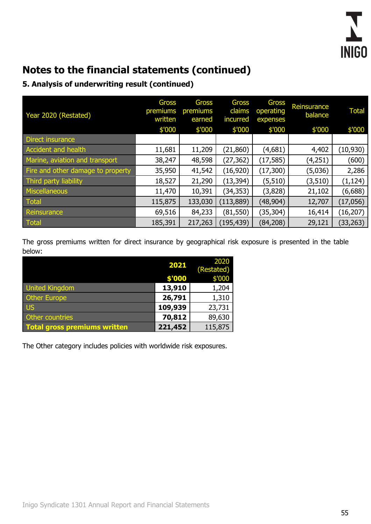

## **5. Analysis of underwriting result (continued)**

| Year 2020 (Restated)              | <b>Gross</b><br>premiums<br>written | <b>Gross</b><br>premiums<br>earned | Gross<br>claims<br>incurred | Gross<br>operating<br>expenses | Reinsurance<br>balance | <b>Total</b> |
|-----------------------------------|-------------------------------------|------------------------------------|-----------------------------|--------------------------------|------------------------|--------------|
|                                   | \$'000                              | \$'000                             | \$'000                      | \$'000                         | \$'000                 | \$'000       |
| Direct insurance                  |                                     |                                    |                             |                                |                        |              |
| Accident and health               | 11,681                              | 11,209                             | (21, 860)                   | (4,681)                        | 4,402                  | (10, 930)    |
| Marine, aviation and transport    | 38,247                              | 48,598                             | (27, 362)                   | (17, 585)                      | (4, 251)               | (600)        |
| Fire and other damage to property | 35,950                              | 41,542                             | (16, 920)                   | (17, 300)                      | (5,036)                | 2,286        |
| Third party liability             | 18,527                              | 21,290                             | (13, 394)                   | (5, 510)                       | (3, 510)               | (1, 124)     |
| Miscellaneous                     | 11,470                              | 10,391                             | (34, 353)                   | (3,828)                        | 21,102                 | (6,688)      |
| Total                             | 115,875                             | 133,030                            | (113, 889)                  | (48, 904)                      | 12,707                 | (17,056)     |
| Reinsurance                       | 69,516                              | 84,233                             | (81, 550)                   | (35, 304)                      | 16,414                 | (16, 207)    |
| Total                             | 185,391                             | 217,263                            | (195, 439)                  | (84, 208)                      | 29,121                 | (33, 263)    |

The gross premiums written for direct insurance by geographical risk exposure is presented in the table below:

|                                     | 2021    | 2020<br>(Restated) |
|-------------------------------------|---------|--------------------|
|                                     | \$'000  | \$'000             |
| <b>United Kingdom</b>               | 13,910  | 1,204              |
| <b>Other Europe</b>                 | 26,791  | 1,310              |
| <b>US</b>                           | 109,939 | 23,731             |
| Other countries                     | 70,812  | 89,630             |
| <b>Total gross premiums written</b> | 221,452 | 115,875            |

The Other category includes policies with worldwide risk exposures.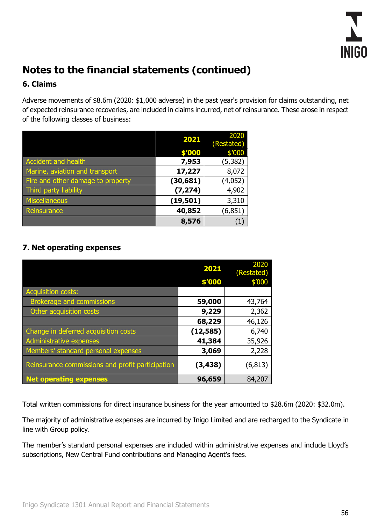

### **6. Claims**

Adverse movements of \$8.6m (2020: \$1,000 adverse) in the past year's provision for claims outstanding, net of expected reinsurance recoveries, are included in claims incurred, net of reinsurance. These arose in respect of the following classes of business:

|                                   | 2021      | 2020<br>(Restated) |
|-----------------------------------|-----------|--------------------|
|                                   | \$'000    | \$′000             |
| Accident and health               | 7,953     | (5, 382)           |
| Marine, aviation and transport    | 17,227    | 8,072              |
| Fire and other damage to property | (30, 681) | (4,052)            |
| Third party liability             | (7, 274)  | 4,902              |
| Miscellaneous                     | (19, 501) | 3,310              |
| Reinsurance                       | 40,852    | (6, 851)           |
|                                   | 8,576     | $\ket{1}$          |

## **7. Net operating expenses**

|                                                  | 2021      | 2020<br>(Restated) |
|--------------------------------------------------|-----------|--------------------|
|                                                  | \$'000    | \$'000             |
| <b>Acquisition costs:</b>                        |           |                    |
| <b>Brokerage and commissions</b>                 | 59,000    | 43,764             |
| Other acquisition costs                          | 9,229     | 2,362              |
|                                                  | 68,229    | 46,126             |
| Change in deferred acquisition costs             | (12, 585) | 6,740              |
| <b>Administrative expenses</b>                   | 41,384    | 35,926             |
| Members' standard personal expenses              | 3,069     | 2,228              |
| Reinsurance commissions and profit participation | (3, 438)  | (6, 813)           |
| <b>Net operating expenses</b>                    | 96,659    | 84,207             |

Total written commissions for direct insurance business for the year amounted to \$28.6m (2020: \$32.0m).

The majority of administrative expenses are incurred by Inigo Limited and are recharged to the Syndicate in line with Group policy.

The member's standard personal expenses are included within administrative expenses and include Lloyd's subscriptions, New Central Fund contributions and Managing Agent's fees.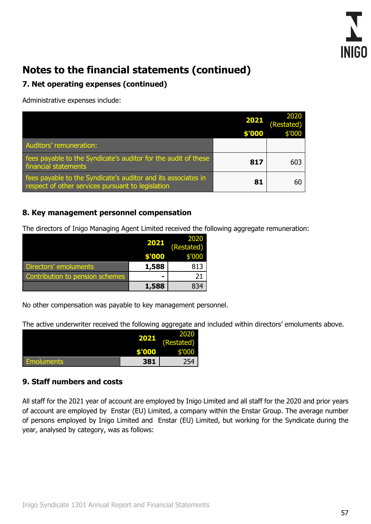

### **7. Net operating expenses (continued)**

Administrative expenses include:

|                                                                                                                    | 2021<br>\$'000 | 2020<br>(Restated)<br>\$'000 |
|--------------------------------------------------------------------------------------------------------------------|----------------|------------------------------|
| Auditors' remuneration:                                                                                            |                |                              |
| fees payable to the Syndicate's auditor for the audit of these<br>financial statements                             | 817            | 603                          |
| fees payable to the Syndicate's auditor and its associates in<br>respect of other services pursuant to legislation | 81             |                              |

### **8. Key management personnel compensation**

The directors of Inigo Managing Agent Limited received the following aggregate remuneration:

|                                 |        | 2020<br>(Restated) |
|---------------------------------|--------|--------------------|
|                                 | \$'000 | \$'000             |
| Directors' emoluments           | 1,588  | 813                |
| Contribution to pension schemes |        | 21                 |
|                                 | 1,588  | 834                |

No other compensation was payable to key management personnel.

The active underwriter received the following aggregate and included within directors' emoluments above.

|                   |                | 2020       |
|-------------------|----------------|------------|
|                   |                | (Restated) |
|                   | <b>COLLECT</b> | \$'000     |
| <b>Emoluments</b> | 381            | 254        |

### **9. Staff numbers and costs**

All staff for the 2021 year of account are employed by Inigo Limited and all staff for the 2020 and prior years of account are employed by Enstar (EU) Limited, a company within the Enstar Group. The average number of persons employed by Inigo Limited and Enstar (EU) Limited, but working for the Syndicate during the year, analysed by category, was as follows: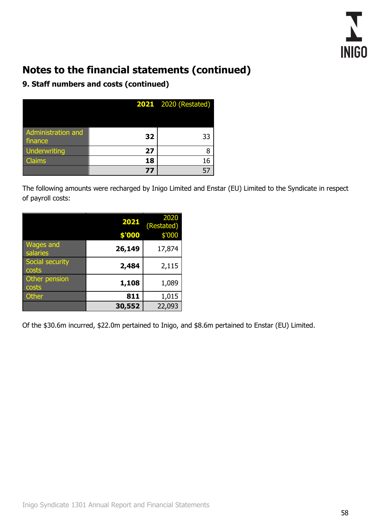

## **9. Staff numbers and costs (continued)**

|                               |    | <b>2021</b> 2020 (Restated) |
|-------------------------------|----|-----------------------------|
|                               |    |                             |
| Administration and<br>finance | 32 | 33                          |
| <b>Underwriting</b>           | 27 |                             |
| <b>Claims</b>                 | 18 | 16                          |
|                               | 77 |                             |

The following amounts were recharged by Inigo Limited and Enstar (EU) Limited to the Syndicate in respect of payroll costs:

|                              | 2021   | 2020<br>(Restated) |
|------------------------------|--------|--------------------|
|                              | \$'000 | \$'000             |
| <b>Wages and</b><br>salaries | 26,149 | 17,874             |
| Social security<br>costs     | 2,484  | 2,115              |
| Other pension<br>costs       | 1,108  | 1,089              |
| <b>Other</b>                 | 811    | 1,015              |
|                              | 30,552 | 22,093             |

Of the \$30.6m incurred, \$22.0m pertained to Inigo, and \$8.6m pertained to Enstar (EU) Limited.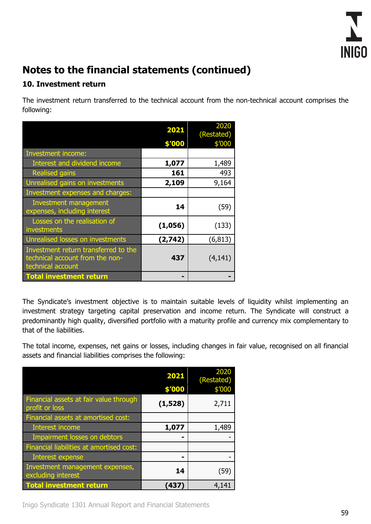

### **10. Investment return**

The investment return transferred to the technical account from the non-technical account comprises the following:

|                                                                                              | 2021    | 2020<br>(Restated) |
|----------------------------------------------------------------------------------------------|---------|--------------------|
|                                                                                              | \$'000  | \$'000             |
| Investment income:                                                                           |         |                    |
| Interest and dividend income                                                                 | 1,077   | 1,489              |
| <b>Realised gains</b>                                                                        | 161     | 493                |
| Unrealised gains on investments                                                              | 2,109   | 9,164              |
| Investment expenses and charges:                                                             |         |                    |
| <b>Investment management</b><br>expenses, including interest                                 | 14      | (59)               |
| Losses on the realisation of<br>investments                                                  | (1,056) | (133)              |
| Unrealised losses on investments                                                             | (2,742) | (6, 813)           |
| Investment return transferred to the<br>technical account from the non-<br>technical account | 437     | (4, 141)           |
| <b>Total investment return</b>                                                               |         |                    |

The Syndicate's investment objective is to maintain suitable levels of liquidity whilst implementing an investment strategy targeting capital preservation and income return. The Syndicate will construct a predominantly high quality, diversified portfolio with a maturity profile and currency mix complementary to that of the liabilities.

The total income, expenses, net gains or losses, including changes in fair value, recognised on all financial assets and financial liabilities comprises the following:

|                                                          | 2021<br>\$'000 | 2020<br>(Restated)<br>\$'000 |
|----------------------------------------------------------|----------------|------------------------------|
| Financial assets at fair value through<br>profit or loss | (1,528)        | 2,711                        |
| Financial assets at amortised cost:                      |                |                              |
| Interest income                                          | 1,077          | 1,489                        |
| Impairment losses on debtors                             |                |                              |
| Financial liabilities at amortised cost:                 |                |                              |
| <b>Interest expense</b>                                  |                |                              |
| Investment management expenses,<br>excluding interest    | 14             | (59)                         |
| <b>Total investment return</b>                           | (437)          | 4,141                        |

Inigo Syndicate 1301 Annual Report and Financial Statements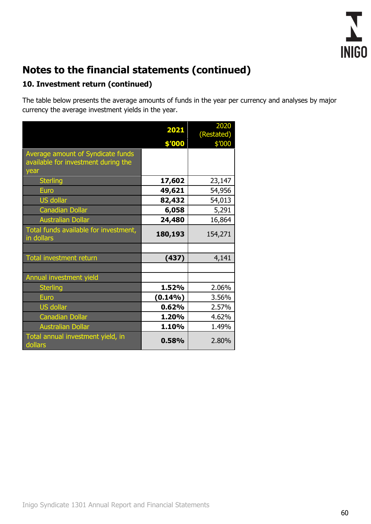

## **10. Investment return (continued)**

The table below presents the average amounts of funds in the year per currency and analyses by major currency the average investment yields in the year.

|                                                                          | 2021       | 2020<br>(Restated) |
|--------------------------------------------------------------------------|------------|--------------------|
|                                                                          | \$'000     | \$'000             |
| Average amount of Syndicate funds<br>available for investment during the |            |                    |
| year                                                                     |            |                    |
| <b>Sterling</b>                                                          | 17,602     | 23,147             |
| Euro                                                                     | 49,621     | 54,956             |
| <b>US dollar</b>                                                         | 82,432     | 54,013             |
| <b>Canadian Dollar</b>                                                   | 6,058      | 5,291              |
| <b>Australian Dollar</b>                                                 | 24,480     | 16,864             |
| Total funds available for investment,<br>in dollars                      | 180,193    | 154,271            |
|                                                                          |            |                    |
| <b>Total investment return</b>                                           | (437)      | 4,141              |
|                                                                          |            |                    |
| Annual investment yield                                                  |            |                    |
| <b>Sterling</b>                                                          | 1.52%      | 2.06%              |
| <b>Euro</b>                                                              | $(0.14\%)$ | 3.56%              |
| <b>US dollar</b>                                                         | 0.62%      | 2.57%              |
| <b>Canadian Dollar</b>                                                   | 1.20%      | 4.62%              |
| <b>Australian Dollar</b>                                                 | 1.10%      | 1.49%              |
| Total annual investment yield, in<br>dollars                             | 0.58%      | 2.80%              |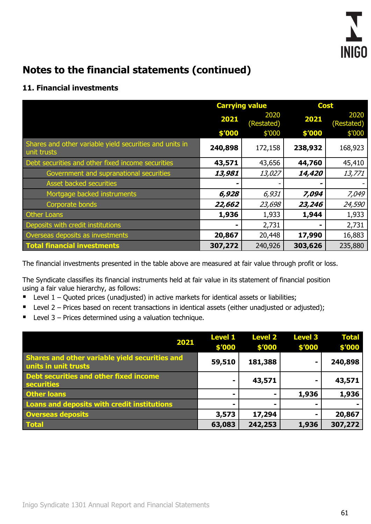

## **11. Financial investments**

|                                                                        | <b>Carrying value</b> |                    | <b>Cost</b> |                    |  |
|------------------------------------------------------------------------|-----------------------|--------------------|-------------|--------------------|--|
|                                                                        | 2021                  | 2020<br>(Restated) | 2021        | 2020<br>(Restated) |  |
|                                                                        | \$'000                | \$'000             | \$'000      | \$'000             |  |
| Shares and other variable yield securities and units in<br>unit trusts | 240,898               | 172,158            | 238,932     | 168,923            |  |
| Debt securities and other fixed income securities                      | 43,571                | 43,656             | 44,760      | 45,410             |  |
| Government and supranational securities                                | 13,981                | 13,027             | 14,420      | 13,771             |  |
| Asset backed securities                                                |                       |                    |             |                    |  |
| Mortgage backed instruments                                            | 6,928                 | 6,931              | 7,094       | 7,049              |  |
| Corporate bonds                                                        | 22,662                | 23,698             | 23,246      | 24,590             |  |
| <b>Other Loans</b>                                                     | 1,936                 | 1,933              | 1,944       | 1,933              |  |
| Deposits with credit institutions                                      |                       | 2,731              |             | 2,731              |  |
| Overseas deposits as investments                                       | 20,867                | 20,448             | 17,990      | 16,883             |  |
| <b>Total financial investments</b>                                     | 307,272               | 240,926            | 303,626     | 235,880            |  |

The financial investments presented in the table above are measured at fair value through profit or loss.

The Syndicate classifies its financial instruments held at fair value in its statement of financial position using a fair value hierarchy, as follows:

- $\blacksquare$  Level 1 Quoted prices (unadjusted) in active markets for identical assets or liabilities;
- Level 2 Prices based on recent transactions in identical assets (either unadjusted or adjusted);
- Level 3 Prices determined using a valuation technique.

| 2021                                                                   | <b>Level 1</b><br>\$'000 | <b>Level 2</b><br>\$'000 | <b>Level 3</b><br>\$'000 | <b>Total</b><br>\$′000 |
|------------------------------------------------------------------------|--------------------------|--------------------------|--------------------------|------------------------|
| Shares and other variable yield securities and<br>units in unit trusts | 59,510                   | 181,388                  | $\blacksquare$           | 240,898                |
| Debt securities and other fixed income<br>securities                   | $\blacksquare$           | 43,571                   | $\blacksquare$           | 43,571                 |
| <b>Other loans</b>                                                     |                          |                          | 1,936                    | 1,936                  |
| Loans and deposits with credit institutions                            | $\blacksquare$           |                          |                          |                        |
| <b>Overseas deposits</b>                                               | 3,573                    | 17,294                   |                          | 20,867                 |
| <b>Total</b>                                                           | 63,083                   | 242,253                  | 1,936                    | 307,272                |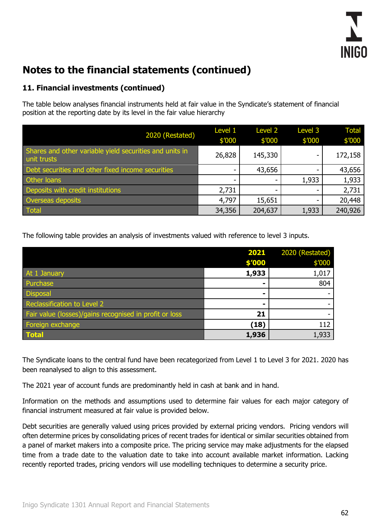

### **11. Financial investments (continued)**

The table below analyses financial instruments held at fair value in the Syndicate's statement of financial position at the reporting date by its level in the fair value hierarchy

| 2020 (Restated)                                                        | Level 1<br>\$′000 | <b>Level 2</b><br>\$′000 | Level 3<br>\$′000 | <b>Total</b><br>\$′000 |
|------------------------------------------------------------------------|-------------------|--------------------------|-------------------|------------------------|
| Shares and other variable yield securities and units in<br>unit trusts | 26,828            | 145,330                  |                   | 172,158                |
| Debt securities and other fixed income securities                      |                   | 43,656                   |                   | 43,656                 |
| Other loans                                                            |                   |                          | 1,933             | 1,933                  |
| Deposits with credit institutions                                      | 2,731             |                          |                   | 2,731                  |
| Overseas deposits                                                      | 4,797             | 15,651                   |                   | 20,448                 |
| Total                                                                  | 34,356            | 204,637                  | 1,933             | 240,926                |

The following table provides an analysis of investments valued with reference to level 3 inputs.

|                                                        | 2021   | 2020 (Restated) |
|--------------------------------------------------------|--------|-----------------|
|                                                        | \$'000 | \$′000          |
| At 1 January                                           | 1,933  | 1,017           |
| Purchase                                               | -      | 804             |
| <b>Disposal</b>                                        | -      |                 |
| Reclassification to Level 2                            | -      |                 |
| Fair value (losses)/gains recognised in profit or loss | 21     |                 |
| Foreign exchange                                       | (18)   | 112             |
| <b>Total</b>                                           | 1,936  | 1,933           |

The Syndicate loans to the central fund have been recategorized from Level 1 to Level 3 for 2021. 2020 has been reanalysed to align to this assessment.

The 2021 year of account funds are predominantly held in cash at bank and in hand.

Information on the methods and assumptions used to determine fair values for each major category of financial instrument measured at fair value is provided below.

Debt securities are generally valued using prices provided by external pricing vendors. Pricing vendors will often determine prices by consolidating prices of recent trades for identical or similar securities obtained from a panel of market makers into a composite price. The pricing service may make adjustments for the elapsed time from a trade date to the valuation date to take into account available market information. Lacking recently reported trades, pricing vendors will use modelling techniques to determine a security price.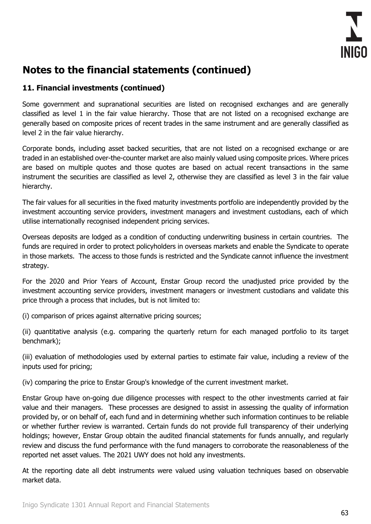

### **11. Financial investments (continued)**

Some government and supranational securities are listed on recognised exchanges and are generally classified as level 1 in the fair value hierarchy. Those that are not listed on a recognised exchange are generally based on composite prices of recent trades in the same instrument and are generally classified as level 2 in the fair value hierarchy.

Corporate bonds, including asset backed securities, that are not listed on a recognised exchange or are traded in an established over-the-counter market are also mainly valued using composite prices. Where prices are based on multiple quotes and those quotes are based on actual recent transactions in the same instrument the securities are classified as level 2, otherwise they are classified as level 3 in the fair value hierarchy.

The fair values for all securities in the fixed maturity investments portfolio are independently provided by the investment accounting service providers, investment managers and investment custodians, each of which utilise internationally recognised independent pricing services.

Overseas deposits are lodged as a condition of conducting underwriting business in certain countries. The funds are required in order to protect policyholders in overseas markets and enable the Syndicate to operate in those markets. The access to those funds is restricted and the Syndicate cannot influence the investment strategy.

For the 2020 and Prior Years of Account, Enstar Group record the unadjusted price provided by the investment accounting service providers, investment managers or investment custodians and validate this price through a process that includes, but is not limited to:

(i) comparison of prices against alternative pricing sources;

(ii) quantitative analysis (e.g. comparing the quarterly return for each managed portfolio to its target benchmark);

(iii) evaluation of methodologies used by external parties to estimate fair value, including a review of the inputs used for pricing;

(iv) comparing the price to Enstar Group's knowledge of the current investment market.

Enstar Group have on-going due diligence processes with respect to the other investments carried at fair value and their managers. These processes are designed to assist in assessing the quality of information provided by, or on behalf of, each fund and in determining whether such information continues to be reliable or whether further review is warranted. Certain funds do not provide full transparency of their underlying holdings; however, Enstar Group obtain the audited financial statements for funds annually, and regularly review and discuss the fund performance with the fund managers to corroborate the reasonableness of the reported net asset values. The 2021 UWY does not hold any investments.

At the reporting date all debt instruments were valued using valuation techniques based on observable market data.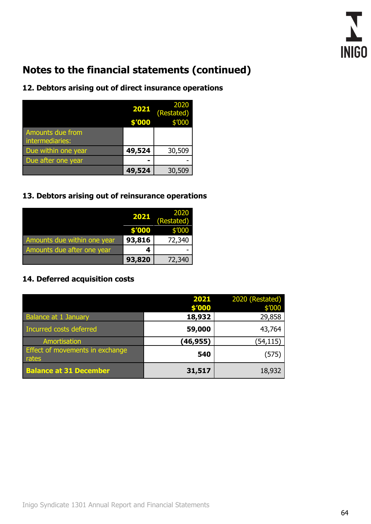

## **12. Debtors arising out of direct insurance operations**

|                                     | 2021<br>\$'000 | 2020<br>(Restated)<br>\$'000 |
|-------------------------------------|----------------|------------------------------|
| Amounts due from<br>intermediaries: |                |                              |
| Due within one year                 | 49,524         | 30,509                       |
| Due after one year                  |                |                              |
|                                     | 49,524         | 30,509                       |

### **13. Debtors arising out of reinsurance operations**

|                             | 2021   | 2020<br>(Restated) |
|-----------------------------|--------|--------------------|
|                             | \$'000 | \$'000             |
| Amounts due within one year | 93,816 | 72,340             |
| Amounts due after one year  |        |                    |
|                             | 93,820 | 72,340             |

### **14. Deferred acquisition costs**

|                                          | 2021      | 2020 (Restated) |
|------------------------------------------|-----------|-----------------|
|                                          | \$'000    | \$′000          |
| <b>Balance at 1 January</b>              | 18,932    | 29,858          |
| Incurred costs deferred                  | 59,000    | 43,764          |
| Amortisation                             | (46, 955) | (54, 115)       |
| Effect of movements in exchange<br>rates | 540       | (575)           |
| <b>Balance at 31 December</b>            | 31,517    | 18,932          |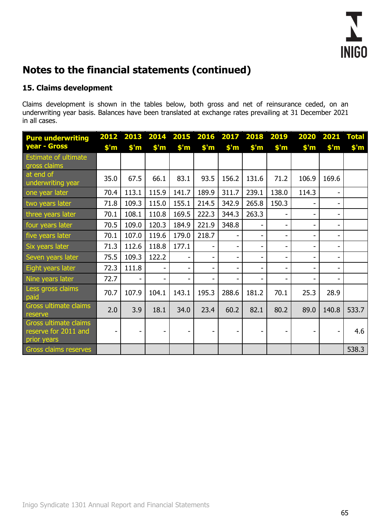

### **15. Claims development**

Claims development is shown in the tables below, both gross and net of reinsurance ceded, on an underwriting year basis. Balances have been translated at exchange rates prevailing at 31 December 2021 in all cases.

| <b>Pure underwriting</b>                                     |                | 2012 2013      | 2014                     | 2015 2016      |                | 2017                         | 2018           | 2019           | 2020                     | 2021                     | <b>Total</b>   |
|--------------------------------------------------------------|----------------|----------------|--------------------------|----------------|----------------|------------------------------|----------------|----------------|--------------------------|--------------------------|----------------|
| year - Gross                                                 | $$^{\prime}$ m | $$^{\prime}$ m | $$^{\prime}$ m           | $$^{\prime}$ m | $$^{\prime}$ m | $$^{\prime}$ m               | $$^{\prime}$ m | $$^{\prime}$ m | $$^{\prime}$ m           | $$^{\prime}$ m           | $$^{\prime}$ m |
| <b>Estimate of ultimate</b><br>gross claims                  |                |                |                          |                |                |                              |                |                |                          |                          |                |
| at end of<br>underwriting year                               | 35.0           | 67.5           | 66.1                     | 83.1           | 93.5           | 156.2                        | 131.6          | 71.2           | 106.9                    | 169.6                    |                |
| one year later                                               | 70.4           | 113.1          | 115.9                    | 141.7          | 189.9          | 311.7                        | 239.1          | 138.0          | 114.3                    | $\overline{\phantom{a}}$ |                |
| two years later                                              | 71.8           | 109.3          | 115.0                    | 155.1          | 214.5          | 342.9                        | 265.8          | 150.3          |                          | $\overline{\phantom{a}}$ |                |
| three years later                                            | 70.1           | 108.1          | 110.8                    | 169.5          | 222.3          | 344.3                        | 263.3          |                |                          | $\overline{\phantom{a}}$ |                |
| four years later                                             | 70.5           | 109.0          | 120.3                    | 184.9          | 221.9          | 348.8                        |                | -              |                          | $\overline{\phantom{a}}$ |                |
| five years later                                             | 70.1           | 107.0          | 119.6                    | 179.0          | 218.7          | $\overline{\phantom{0}}$     | Ξ.             | Ξ.             | $\blacksquare$           | $\blacksquare$           |                |
| Six years later                                              | 71.3           | 112.6          | 118.8                    | 177.1          | -              | $\overline{\phantom{0}}$     | Ξ.             | ۰              | $\overline{\phantom{0}}$ | $\blacksquare$           |                |
| Seven years later                                            | 75.5           | 109.3          | 122.2                    |                | -              | $\qquad \qquad \blacksquare$ | -              | Ξ.             | -                        | $\blacksquare$           |                |
| Eight years later                                            | 72.3           | 111.8          |                          |                |                |                              |                |                |                          |                          |                |
| Nine years later                                             | 72.7           |                | $\overline{\phantom{a}}$ |                |                | $\overline{\phantom{0}}$     |                |                |                          | $\blacksquare$           |                |
| Less gross claims<br>paid                                    | 70.7           | 107.9          | 104.1                    | 143.1          | 195.3          | 288.6                        | 181.2          | 70.1           | 25.3                     | 28.9                     |                |
| Gross ultimate claims<br>reserve                             | 2.0            | 3.9            | 18.1                     | 34.0           | 23.4           | 60.2                         | 82.1           | 80.2           | 89.0                     | 140.8                    | 533.7          |
| Gross ultimate claims<br>reserve for 2011 and<br>prior years | -              |                | $\overline{\phantom{a}}$ | ۰              | -              | $\qquad \qquad \blacksquare$ |                | -              |                          |                          | 4.6            |
| Gross claims reserves                                        |                |                |                          |                |                |                              |                |                |                          |                          | 538.3          |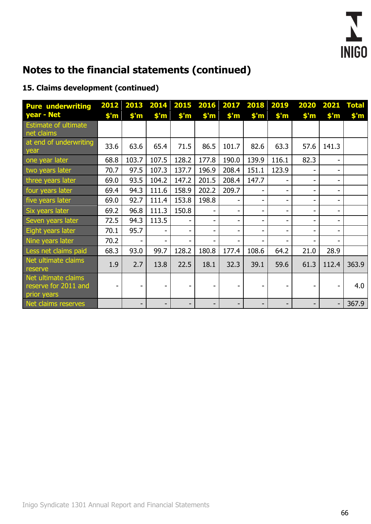

## **15. Claims development (continued)**

| <b>Pure underwriting</b><br>year - Net                     | 2012<br>$$^{\prime}$ m | 2013<br>$$^{\prime}$ m   | $$^{\prime}$ m | 2014 2015 2016<br>$$^{\prime}$ m | $$^{\prime}$ m | 2017<br>$$^{\prime}$ m | 2018 2019<br>$$^{\prime}$ m | $$^{\prime}$ m | 2020<br>$$^{\prime}$ m | 2021<br>$$^{\prime}$ m       | <b>Total</b><br>$$^{\prime}$ m |
|------------------------------------------------------------|------------------------|--------------------------|----------------|----------------------------------|----------------|------------------------|-----------------------------|----------------|------------------------|------------------------------|--------------------------------|
| Estimate of ultimate<br>net claims                         |                        |                          |                |                                  |                |                        |                             |                |                        |                              |                                |
| at end of underwriting<br>year                             | 33.6                   | 63.6                     | 65.4           | 71.5                             | 86.5           | 101.7                  | 82.6                        | 63.3           | 57.6                   | 141.3                        |                                |
| one year later                                             | 68.8                   | 103.7                    | 107.5          | 128.2                            | 177.8          | 190.0                  | 139.9                       | 116.1          | 82.3                   | $\overline{\phantom{0}}$     |                                |
| two years later                                            | 70.7                   | 97.5                     | 107.3          | 137.7                            | 196.9          | 208.4                  | 151.1                       | 123.9          |                        | $\overline{\phantom{0}}$     |                                |
| three years later                                          | 69.0                   | 93.5                     | 104.2          | 147.2                            | 201.5          | 208.4                  | 147.7                       |                | -                      | $\overline{\phantom{0}}$     |                                |
| four years later                                           | 69.4                   | 94.3                     | 111.6          | 158.9                            | 202.2          | 209.7                  |                             | $\blacksquare$ |                        | $\overline{\phantom{0}}$     |                                |
| five years later                                           | 69.0                   | 92.7                     | 111.4          | 153.8                            | 198.8          |                        | -                           | $\blacksquare$ |                        | $\qquad \qquad \blacksquare$ |                                |
| Six years later                                            | 69.2                   | 96.8                     | 111.3          | 150.8                            | -              | -                      | -                           | -              |                        | $\overline{\phantom{0}}$     |                                |
| Seven years later                                          | 72.5                   | 94.3                     | 113.5          | ۰                                | -              |                        | -                           | $\blacksquare$ |                        | $\overline{\phantom{0}}$     |                                |
| Eight years later                                          | 70.1                   | 95.7                     |                | Ξ.                               | -              |                        | ۰                           | $\blacksquare$ |                        | $\overline{\phantom{0}}$     |                                |
| Nine years later                                           | 70.2                   |                          |                | $\overline{\phantom{0}}$         | -              |                        | -                           |                |                        | $\overline{\phantom{0}}$     |                                |
| Less net claims paid                                       | 68.3                   | 93.0                     | 99.7           | 128.2                            | 180.8          | 177.4                  | 108.6                       | 64.2           | 21.0                   | 28.9                         |                                |
| Net ultimate claims<br>reserve                             | 1.9                    | 2.7                      | 13.8           | 22.5                             | 18.1           | 32.3                   | 39.1                        | 59.6           | 61.3                   | 112.4                        | 363.9                          |
| Net ultimate claims<br>reserve for 2011 and<br>prior years | Ξ.                     |                          |                |                                  |                |                        |                             |                |                        | $\blacksquare$               | 4.0                            |
| Net claims reserves                                        |                        | $\overline{\phantom{a}}$ |                | ٠                                | -              | -                      | -                           | ۰              | -                      | $\overline{a}$               | 367.9                          |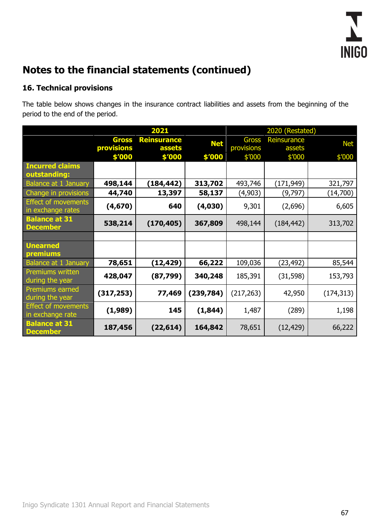

## **16. Technical provisions**

The table below shows changes in the insurance contract liabilities and assets from the beginning of the period to the end of the period.

|                                                 |                   | 2021               |            | 2020 (Restated) |             |            |  |
|-------------------------------------------------|-------------------|--------------------|------------|-----------------|-------------|------------|--|
|                                                 | <b>Gross</b>      | <b>Reinsurance</b> | <b>Net</b> | <b>Gross</b>    | Reinsurance | <b>Net</b> |  |
|                                                 | <b>provisions</b> | <b>assets</b>      |            | provisions      | assets      |            |  |
| <b>Incurred claims</b>                          | \$'000            | \$'000             | \$'000     | \$'000          | \$'000      | \$'000     |  |
| outstanding:                                    |                   |                    |            |                 |             |            |  |
| <b>Balance at 1 January</b>                     | 498,144           | (184,442)          | 313,702    | 493,746         | (171,949)   | 321,797    |  |
| Change in provisions                            | 44,740            | 13,397             | 58,137     | (4,903)         | (9,797)     | (14,700)   |  |
| <b>Effect of movements</b><br>in exchange rates | (4,670)           | 640                | (4,030)    | 9,301           | (2,696)     | 6,605      |  |
| <b>Balance at 31</b><br><b>December</b>         | 538,214           | (170, 405)         | 367,809    | 498,144         | (184, 442)  | 313,702    |  |
|                                                 |                   |                    |            |                 |             |            |  |
| <b>Unearned</b>                                 |                   |                    |            |                 |             |            |  |
| premiums                                        |                   |                    |            |                 |             |            |  |
| <b>Balance at 1 January</b><br>Premiums written | 78,651            | (12,429)           | 66,222     | 109,036         | (23,492)    | 85,544     |  |
| during the year                                 | 428,047           | (87, 799)          | 340,248    | 185,391         | (31, 598)   | 153,793    |  |
| <b>Premiums earned</b><br>during the year       | (317, 253)        | 77,469             | (239, 784) | (217, 263)      | 42,950      | (174, 313) |  |
| <b>Effect of movements</b><br>in exchange rate  | (1,989)           | 145                | (1, 844)   | 1,487           | (289)       | 1,198      |  |
| <b>Balance at 31</b><br><b>December</b>         | 187,456           | (22, 614)          | 164,842    | 78,651          | (12, 429)   | 66,222     |  |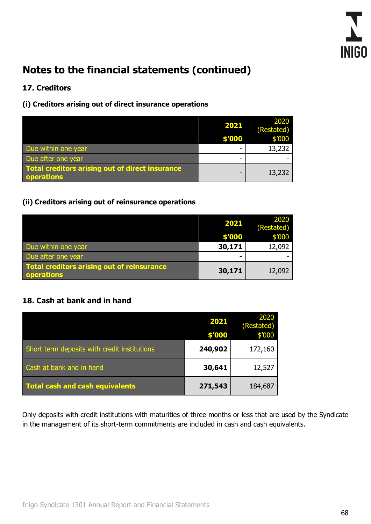

## **17. Creditors**

#### **(i) Creditors arising out of direct insurance operations**

|                                                                      | 2021   | 2020<br>(Restated) |
|----------------------------------------------------------------------|--------|--------------------|
|                                                                      | \$'000 | \$'000             |
| Due within one year                                                  | -      | 13,232             |
| Due after one year                                                   | -      |                    |
| <b>Total creditors arising out of direct insurance</b><br>operations | -      | 13,232             |

### **(ii) Creditors arising out of reinsurance operations**

|                                                                 | 2021   | 2020<br>(Restated) |
|-----------------------------------------------------------------|--------|--------------------|
|                                                                 | \$'000 | \$'000             |
| Due within one year                                             | 30,171 | 12,092             |
| Due after one year                                              | -      |                    |
| Total creditors arising out of reinsurance<br><b>operations</b> | 30,171 | 12,092             |

### **18. Cash at bank and in hand**

|                                              | 2021<br>\$'000 | 2020<br>(Restated)<br>\$′000 |
|----------------------------------------------|----------------|------------------------------|
| Short term deposits with credit institutions | 240,902        | 172,160                      |
| Cash at bank and in hand                     | 30,641         | 12,527                       |
| <b>Total cash and cash equivalents</b>       | 271,543        | 184,687                      |

Only deposits with credit institutions with maturities of three months or less that are used by the Syndicate in the management of its short-term commitments are included in cash and cash equivalents.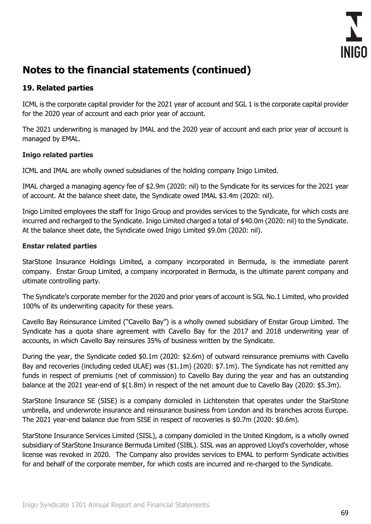

### **19. Related parties**

ICML is the corporate capital provider for the 2021 year of account and SGL 1 is the corporate capital provider for the 2020 year of account and each prior year of account.

The 2021 underwriting is managed by IMAL and the 2020 year of account and each prior year of account is managed by EMAL.

#### **Inigo related parties**

ICML and IMAL are wholly owned subsidiaries of the holding company Inigo Limited.

IMAL charged a managing agency fee of \$2.9m (2020: nil) to the Syndicate for its services for the 2021 year of account. At the balance sheet date, the Syndicate owed IMAL \$3.4m (2020: nil).

Inigo Limited employees the staff for Inigo Group and provides services to the Syndicate, for which costs are incurred and recharged to the Syndicate. Inigo Limited charged a total of \$40.0m (2020: nil) to the Syndicate. At the balance sheet date, the Syndicate owed Inigo Limited \$9.0m (2020: nil).

#### **Enstar related parties**

StarStone Insurance Holdings Limited, a company incorporated in Bermuda, is the immediate parent company. Enstar Group Limited, a company incorporated in Bermuda, is the ultimate parent company and ultimate controlling party.

The Syndicate's corporate member for the 2020 and prior years of account is SGL No.1 Limited, who provided 100% of its underwriting capacity for these years.

Cavello Bay Reinsurance Limited ("Cavello Bay") is a wholly owned subsidiary of Enstar Group Limited. The Syndicate has a quota share agreement with Cavello Bay for the 2017 and 2018 underwriting year of accounts, in which Cavello Bay reinsures 35% of business written by the Syndicate.

During the year, the Syndicate ceded \$0.1m (2020: \$2.6m) of outward reinsurance premiums with Cavello Bay and recoveries (including ceded ULAE) was (\$1.1m) (2020: \$7.1m). The Syndicate has not remitted any funds in respect of premiums (net of commission) to Cavello Bay during the year and has an outstanding balance at the 2021 year-end of \$(1.8m) in respect of the net amount due to Cavello Bay (2020: \$5.3m).

StarStone Insurance SE (SISE) is a company domiciled in Lichtenstein that operates under the StarStone umbrella, and underwrote insurance and reinsurance business from London and its branches across Europe. The 2021 year-end balance due from SISE in respect of recoveries is \$0.7m (2020: \$0.6m).

StarStone Insurance Services Limited (SISL), a company domiciled in the United Kingdom, is a wholly owned subsidiary of StarStone Insurance Bermuda Limited (SIBL). SISL was an approved Lloyd's coverholder, whose license was revoked in 2020. The Company also provides services to EMAL to perform Syndicate activities for and behalf of the corporate member, for which costs are incurred and re-charged to the Syndicate.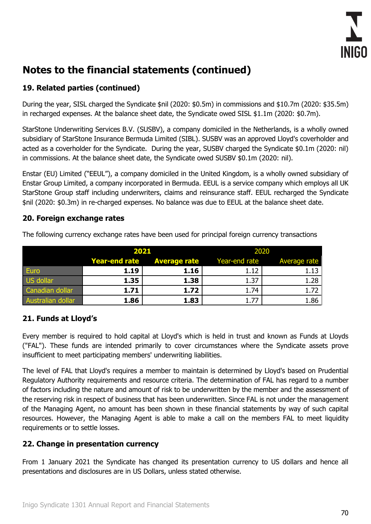

## **19. Related parties (continued)**

During the year, SISL charged the Syndicate \$nil (2020: \$0.5m) in commissions and \$10.7m (2020: \$35.5m) in recharged expenses. At the balance sheet date, the Syndicate owed SISL \$1.1m (2020: \$0.7m).

StarStone Underwriting Services B.V. (SUSBV), a company domiciled in the Netherlands, is a wholly owned subsidiary of StarStone Insurance Bermuda Limited (SIBL). SUSBV was an approved Lloyd's coverholder and acted as a coverholder for the Syndicate. During the year, SUSBV charged the Syndicate \$0.1m (2020: nil) in commissions. At the balance sheet date, the Syndicate owed SUSBV \$0.1m (2020: nil).

Enstar (EU) Limited ("EEUL"), a company domiciled in the United Kingdom, is a wholly owned subsidiary of Enstar Group Limited, a company incorporated in Bermuda. EEUL is a service company which employs all UK StarStone Group staff including underwriters, claims and reinsurance staff. EEUL recharged the Syndicate \$nil (2020: \$0.3m) in re-charged expenses. No balance was due to EEUL at the balance sheet date.

#### **20. Foreign exchange rates**

|                   | 2021 |                                   | 2020          |              |
|-------------------|------|-----------------------------------|---------------|--------------|
|                   |      | <b>Year-end rate Average rate</b> | Year-end rate | Average rate |
| Euro              | 1.19 | 1.16                              | 1.12          | 1.13         |
| US dollar         | 1.35 | 1.38                              | 1.37          | 1.28         |
| Canadian dollar   | 1.71 | 1.72                              | 1.74          | 1.72         |
| Australian dollar | 1.86 | 1.83                              |               | 1.86         |

The following currency exchange rates have been used for principal foreign currency transactions

## **21. Funds at Lloyd's**

Every member is required to hold capital at Lloyd's which is held in trust and known as Funds at Lloyds ("FAL"). These funds are intended primarily to cover circumstances where the Syndicate assets prove insufficient to meet participating members' underwriting liabilities.

The level of FAL that Lloyd's requires a member to maintain is determined by Lloyd's based on Prudential Regulatory Authority requirements and resource criteria. The determination of FAL has regard to a number of factors including the nature and amount of risk to be underwritten by the member and the assessment of the reserving risk in respect of business that has been underwritten. Since FAL is not under the management of the Managing Agent, no amount has been shown in these financial statements by way of such capital resources. However, the Managing Agent is able to make a call on the members FAL to meet liquidity requirements or to settle losses.

### **22. Change in presentation currency**

From 1 January 2021 the Syndicate has changed its presentation currency to US dollars and hence all presentations and disclosures are in US Dollars, unless stated otherwise.